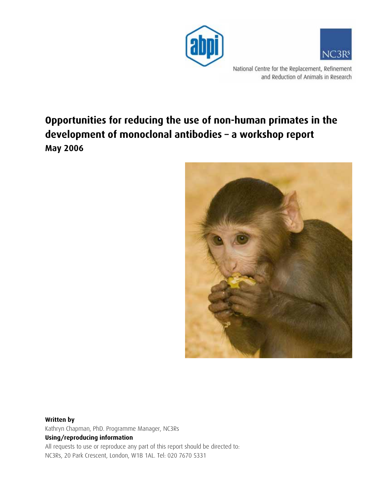



National Centre for the Replacement, Refinement and Reduction of Animals in Research

# **Opportunities for reducing the use of non-human primates in the development of monoclonal antibodies – a workshop report May 2006**



### **Written by**  Kathryn Chapman, PhD. Programme Manager, NC3Rs **Using/reproducing information**  All requests to use or reproduce any part of this report should be directed to: NC3Rs, 20 Park Crescent, London, W1B 1AL. Tel: 020 7670 5331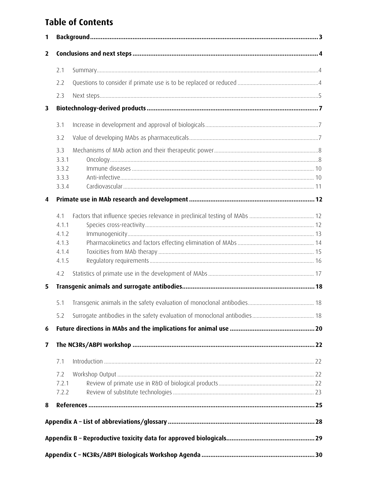# **Table of Contents**

| 1              |                                                  |  |
|----------------|--------------------------------------------------|--|
| $\overline{2}$ |                                                  |  |
|                | 2.1                                              |  |
|                | 2.2                                              |  |
|                | 2.3                                              |  |
| 3              |                                                  |  |
|                | 3.1                                              |  |
|                | 3.2                                              |  |
|                | 3.3<br>3.3.1<br>3.3.2<br>3.3.3<br>3.3.4          |  |
| 4              |                                                  |  |
|                |                                                  |  |
|                | 4.1<br>4.1.1<br>4.1.2<br>4.1.3<br>4.1.4<br>4.1.5 |  |
|                | 4.2                                              |  |
| 5              |                                                  |  |
|                | 5.1                                              |  |
|                |                                                  |  |
| 6              |                                                  |  |
| 7              |                                                  |  |
|                | 7.1                                              |  |
|                | 7.2<br>7.2.1<br>7.2.2                            |  |
| 8              |                                                  |  |
|                |                                                  |  |
|                |                                                  |  |
|                |                                                  |  |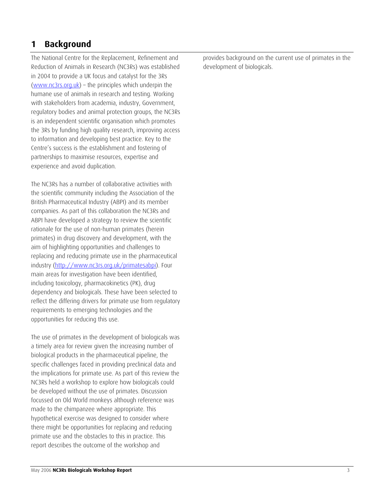## <span id="page-2-0"></span>**1 Background**

The National Centre for the Replacement, Refinement and Reduction of Animals in Research (NC3Rs) was established in 2004 to provide a UK focus and catalyst for the 3Rs [\(www.nc3rs.org.uk\)](http://www.nc3rs.org.uk/) – the principles which underpin the humane use of animals in research and testing. Working with stakeholders from academia, industry, Government, regulatory bodies and animal protection groups, the NC3Rs is an independent scientific organisation which promotes the 3Rs by funding high quality research, improving access to information and developing best practice. Key to the Centre's success is the establishment and fostering of partnerships to maximise resources, expertise and experience and avoid duplication.

The NC3Rs has a number of collaborative activities with the scientific community including the Association of the British Pharmaceutical Industry (ABPI) and its member companies. As part of this collaboration the NC3Rs and ABPI have developed a strategy to review the scientific rationale for the use of non-human primates (herein primates) in drug discovery and development, with the aim of highlighting opportunities and challenges to replacing and reducing primate use in the pharmaceutical industry (http://www.nc3rs.org.uk/primatesabpi). Four main areas for investigation have been identified, including toxicology, pharmacokinetics (PK), drug dependency and biologicals. These have been selected to reflect the differing drivers for primate use from regulatory requirements to emerging technologies and the opportunities for reducing this use.

The use of primates in the development of biologicals was a timely area for review given the increasing number of biological products in the pharmaceutical pipeline, the specific challenges faced in providing preclinical data and the implications for primate use. As part of this review the NC3Rs held a workshop to explore how biologicals could be developed without the use of primates. Discussion focussed on Old World monkeys although reference was made to the chimpanzee where appropriate. This hypothetical exercise was designed to consider where there might be opportunities for replacing and reducing primate use and the obstacles to this in practice. This report describes the outcome of the workshop and

provides background on the current use of primates in the development of biologicals.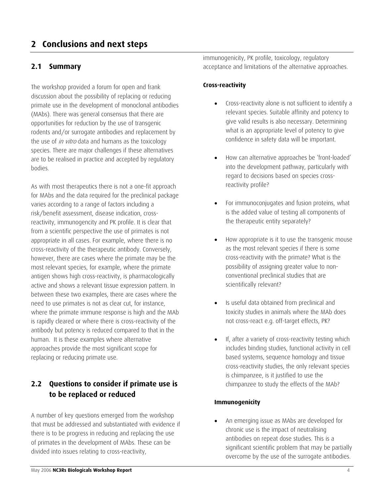## <span id="page-3-0"></span>**2 Conclusions and next steps**

### **2.1 Summary**

The workshop provided a forum for open and frank discussion about the possibility of replacing or reducing primate use in the development of monoclonal antibodies (MAbs). There was general consensus that there are opportunities for reduction by the use of transgenic rodents and/or surrogate antibodies and replacement by the use of *in vitro* data and humans as the toxicology species. There are major challenges if these alternatives are to be realised in practice and accepted by regulatory bodies.

As with most therapeutics there is not a one-fit approach for MAbs and the data required for the preclinical package varies according to a range of factors including a risk/benefit assessment, disease indication, crossreactivity, immunogencity and PK profile. It is clear that from a scientific perspective the use of primates is not appropriate in all cases. For example, where there is no cross-reactivity of the therapeutic antibody. Conversely, however, there are cases where the primate may be the most relevant species, for example, where the primate antigen shows high cross-reactivity, is pharmacologically active and shows a relevant tissue expression pattern. In between these two examples, there are cases where the need to use primates is not as clear cut, for instance, where the primate immune response is high and the MAb is rapidly cleared or where there is cross-reactivity of the antibody but potency is reduced compared to that in the human. It is these examples where alternative approaches provide the most significant scope for replacing or reducing primate use.

## **2.2 Questions to consider if primate use is to be replaced or reduced**

A number of key questions emerged from the workshop that must be addressed and substantiated with evidence if there is to be progress in reducing and replacing the use of primates in the development of MAbs. These can be divided into issues relating to cross-reactivity,

immunogenicity, PK profile, toxicology, regulatory acceptance and limitations of the alternative approaches.

### **Cross-reactivity**

- Cross-reactivity alone is not sufficient to identify a relevant species. Suitable affinity and potency to give valid results is also necessary. Determining what is an appropriate level of potency to give confidence in safety data will be important.
- How can alternative approaches be 'front-loaded' into the development pathway, particularly with regard to decisions based on species crossreactivity profile?
- For immunoconjugates and fusion proteins, what is the added value of testing all components of the therapeutic entity separately?
- How appropriate is it to use the transgenic mouse as the most relevant species if there is some cross-reactivity with the primate? What is the possibility of assigning greater value to nonconventional preclinical studies that are scientifically relevant?
- Is useful data obtained from preclinical and toxicity studies in animals where the MAb does not cross-react e.g. off-target effects, PK?
- If, after a variety of cross-reactivity testing which includes binding studies, functional activity in cell based systems, sequence homology and tissue cross-reactivity studies, the only relevant species is chimpanzee, is it justified to use the chimpanzee to study the effects of the MAb?

#### **Immunogenicity**

• An emerging issue as MAbs are developed for chronic use is the impact of neutralising antibodies on repeat dose studies. This is a significant scientific problem that may be partially overcome by the use of the surrogate antibodies.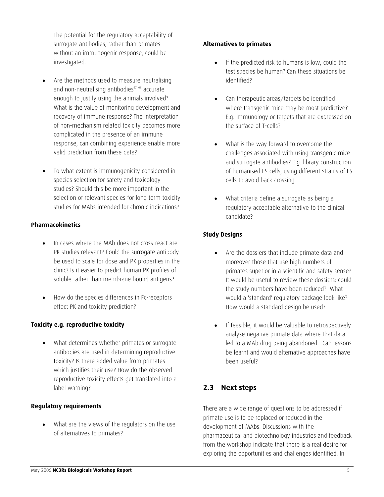<span id="page-4-0"></span>The potential for the regulatory acceptability of surrogate antibodies, rather than primates without an immunogenic response, could be investigated.

- Are the methods used to measure neutralising and non-neutralising antibodies<sup>67, 68</sup> accurate enough to justify using the animals involved? What is the value of monitoring development and recovery of immune response? The interpretation of non-mechanism related toxicity becomes more complicated in the presence of an immune response, can combining experience enable more valid prediction from these data?
- To what extent is immunogenicity considered in species selection for safety and toxicology studies? Should this be more important in the selection of relevant species for long term toxicity studies for MAbs intended for chronic indications?

#### **Pharmacokinetics**

- In cases where the MAb does not cross-react are PK studies relevant? Could the surrogate antibody be used to scale for dose and PK properties in the clinic? Is it easier to predict human PK profiles of soluble rather than membrane bound antigens?
- How do the species differences in Fc-receptors effect PK and toxicity prediction?

#### **Toxicity e.g. reproductive toxicity**

• What determines whether primates or surrogate antibodies are used in determining reproductive toxicity? Is there added value from primates which justifies their use? How do the observed reproductive toxicity effects get translated into a label warning?

#### **Regulatory requirements**

• What are the views of the regulators on the use of alternatives to primates?

#### **Alternatives to primates**

- If the predicted risk to humans is low, could the test species be human? Can these situations be identified?
- Can therapeutic areas/targets be identified where transgenic mice may be most predictive? E.g. immunology or targets that are expressed on the surface of T-cells?
- What is the way forward to overcome the challenges associated with using transgenic mice and surrogate antibodies? E.g. library construction of humanised ES cells, using different strains of ES cells to avoid back-crossing
- What criteria define a surrogate as being a regulatory acceptable alternative to the clinical candidate?

### **Study Designs**

- Are the dossiers that include primate data and moreover those that use high numbers of primates superior in a scientific and safety sense? It would be useful to review these dossiers: could the study numbers have been reduced? What would a 'standard' regulatory package look like? How would a standard design be used?
- If feasible, it would be valuable to retrospectively analyse negative primate data where that data led to a MAb drug being abandoned. Can lessons be learnt and would alternative approaches have been useful?

## **2.3 Next steps**

There are a wide range of questions to be addressed if primate use is to be replaced or reduced in the development of MAbs. Discussions with the pharmaceutical and biotechnology industries and feedback from the workshop indicate that there is a real desire for exploring the opportunities and challenges identified. In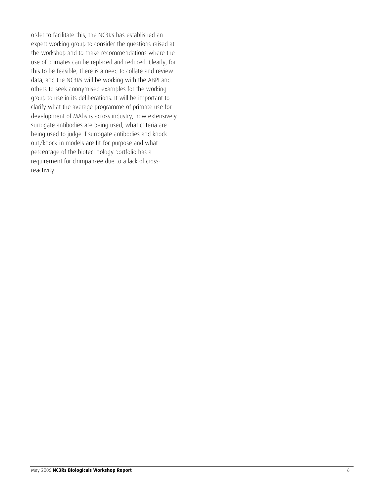order to facilitate this, the NC3Rs has established an expert working group to consider the questions raised at the workshop and to make recommendations where the use of primates can be replaced and reduced. Clearly, for this to be feasible, there is a need to collate and review data, and the NC3Rs will be working with the ABPI and others to seek anonymised examples for the working group to use in its deliberations. It will be important to clarify what the average programme of primate use for development of MAbs is across industry, how extensively surrogate antibodies are being used, what criteria are being used to judge if surrogate antibodies and knockout/knock-in models are fit-for-purpose and what percentage of the biotechnology portfolio has a requirement for chimpanzee due to a lack of crossreactivity.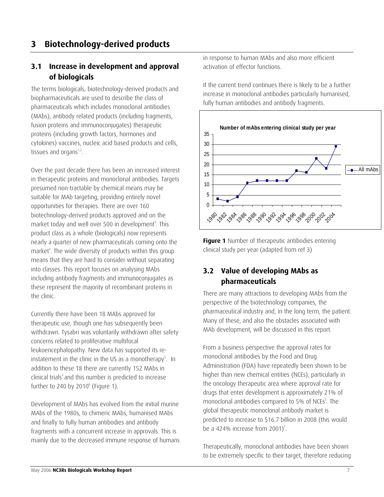## <span id="page-6-0"></span>**3.1 Increase in development and approval of biologicals**

The terms biologicals, biotechnology-derived products and biopharmaceuticals are used to describe the class of pharmaceuticals which includes monoclonal antibodies (MAbs), antibody related products (including fragments, fusion proteins and immunoconjugates) therapeutic proteins (including growth factors, hormones and cytokines) vaccines, nucleic acid based products and cells, tissues and organs $1,2$ .

Over the past decade there has been an increased interest in therapeutic proteins and monoclonal antibodies. Targets presumed non-tractable by chemical means may be suitable for MAb targeting, providing entirely novel opportunities for therapies. There are over 160 biotechnology-derived products approved and on the market today and well over 500 in development<sup>3</sup>. This product class as a whole (biologicals) now represents nearly a quarter of new pharmaceuticals coming onto the market<sup>4</sup>. The wide diversity of products within this group means that they are hard to consider without separating into classes. This report focuses on analysing MAbs including antibody fragments and immunoconjugates as these represent the majority of recombinant proteins in the clinic.

Currently there have been 18 MAbs approved for therapeutic use, though one has subsequently been withdrawn. Tysabri was voluntarily withdrawn after safety concerns related to proliferative multifocal leukoencephalopathy. New data has supported its reinstatement in the clinic in the US as a monotherapy<sup>5</sup>. In addition to these 18 there are currently 152 MAbs in clinical trials<sup>3</sup> and this number is predicted to increase further to 240 by 2010 $^{\circ}$  (Figure 1).

Development of MAbs has evolved from the initial murine MAbs of the 1980s, to chimeric MAbs, humanised MAbs and finally to fully human antibodies and antibody fragments with a concurrent increase in approvals. This is mainly due to the decreased immune response of humans in response to human MAbs and also more efficient activation of effector functions.

If the current trend continues there is likely to be a further increase in monoclonal antibodies particularly humanised, fully human antibodies and antibody fragments.



**Figure 1** Number of therapeutic antibodies entering clinical study per year (adapted from ref 3)

## **3.2 Value of developing MAbs as pharmaceuticals**

There are many attractions to developing MAbs from the perspective of the biotechnology companies, the pharmaceutical industry and, in the long term, the patient. Many of these, and also the obstacles associated with MAb development, will be discussed in this report.

From a business perspective the approval rates for monoclonal antibodies by the Food and Drug Administration (FDA) have repeatedly been shown to be higher than new chemical entities (NCEs), particularly in the oncology therapeutic area where approval rate for drugs that enter development is approximately 21% of monoclonal antibodies compared to 5% of NCEs<sup>3</sup>. The global therapeutic monoclonal antibody market is predicted to increase to \$16.7 billion in 2008 (this would be a 424% increase from 2001)<sup>7</sup>.

Therapeutically, monoclonal antibodies have been shown to be extremely specific to their target, therefore reducing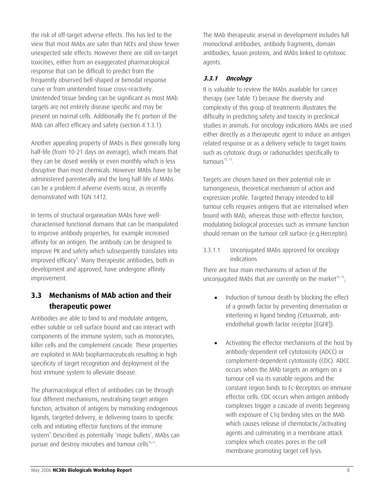<span id="page-7-0"></span>the risk of off-target adverse effects. This has led to the view that most MAbs are safer than NCEs and show fewer unexpected side effects. However there are still on-target toxicities, either from an exaggerated pharmacological response that can be difficult to predict from the frequently observed bell-shaped or bimodal response curve or from unintended tissue cross-reactivity. Unintended tissue binding can be significant as most MAb targets are not entirely disease specific and may be present on normal cells. Additionally the Fc portion of the MAb can affect efficacy and safety (section 4.1.3.1).

Another appealing property of MAbs is their generally long half-life (from 10-21 days on average), which means that they can be dosed weekly or even monthly which is less disruptive than most chemicals. However MAbs have to be administered parenterally and the long half-life of MAbs can be a problem if adverse events occur, as recently demonstrated with TGN 1412.

In terms of structural organisation MAbs have wellcharacterised functional domains that can be manipulated to improve antibody properties, for example increased affinity for an antigen. The antibody can be designed to improve PK and safety which subsequently translates into improved efficacy<sup>8</sup>. Many therapeutic antibodies, both in development and approved, have undergone affinity improvement.

## **3.3 Mechanisms of MAb action and their therapeutic power**

Antibodies are able to bind to and modulate antigens, either soluble or cell surface bound and can interact with components of the immune system, such as monocytes, killer cells and the complement cascade. These properties are exploited in MAb biopharmaceuticals resulting in high specificity of target recognition and deployment of the host immune system to alleviate disease.

The pharmacological effect of antibodies can be through four different mechanisms, neutralising target antigen function, activation of antigens by mimicking endogenous ligands, targeted delivery, ie delivering toxins to specific cells and initiating effector functions of the immune system<sup>9</sup>. Described as potentially 'magic bullets', MAbs can pursue and destroy microbes and tumour cells<sup>10,11</sup>.

The MAb therapeutic arsenal in development includes full monoclonal antibodies, antibody fragments, domain antibodies, fusion proteins, and MAbs linked to cytotoxic agents.

### **3.3.1 Oncology**

It is valuable to review the MAbs available for cancer therapy (see Table 1) because the diversity and complexity of this group of treatments illustrates the difficulty in predicting safety and toxicity in preclinical studies in animals. For oncology indications MAbs are used either directly as a therapeutic agent to induce an antigen related response or as a delivery vehicle to target toxins such as cytotoxic drugs or radionuclides specifically to tumours $^{12, 13}$ .

Targets are chosen based on their potential role in tumorigenesis, theoretical mechanism of action and expression profile. Targeted therapy intended to kill tumour cells requires antigens that are internalised when bound with MAb, whereas those with effector function, modulating biological processes such as immune function should remain on the tumour cell surface (e.g.Herceptin).

### 3.3.1.1 Unconjugated MAbs approved for oncology indications

There are four main mechanisms of action of the unconjugated MAbs that are currently on the market $14, 15$ ;

- Induction of tumour death by blocking the effect of a growth factor by preventing dimerisation or interfering in ligand binding (Cetuximab, antiendothelial growth factor receptor [EGFR]).
- Activating the effector mechanisms of the host by antibody-dependent cell cytotoxicity (ADCC) or complement-dependent cytotoxicity (CDC). ADCC occurs when the MAb targets an antigen on a tumour cell via its variable regions and the constant region binds to Fc-Receptors on immune effector cells. CDC occurs when antigen antibody complexes trigger a cascade of events beginning with exposure of C1q binding sites on the MAb which causes release of chemotactic/activating agents and culminating in a membrane attack complex which creates pores in the cell membrane promoting target cell lysis.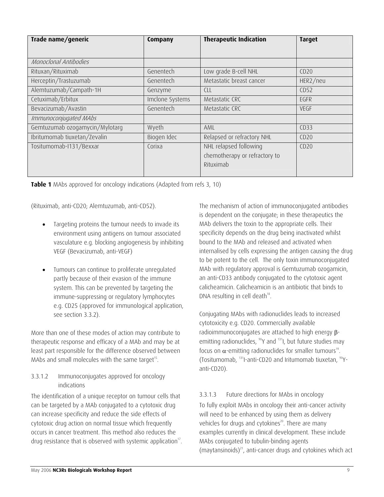| Trade name/generic             | Company         | <b>Therapeutic Indication</b>                                        | <b>Target</b> |
|--------------------------------|-----------------|----------------------------------------------------------------------|---------------|
|                                |                 |                                                                      |               |
| Monoclonal Antibodies          |                 |                                                                      |               |
| Rituxan/Rituximab              | Genentech       | Low grade B-cell NHL                                                 | CD20          |
| Herceptin/Trastuzumab          | Genentech       | Metastatic breast cancer                                             | HER2/neu      |
| Alemtuzumab/Campath-1H         | Genzyme         | <b>CLL</b>                                                           | CD52          |
| Cetuximab/Erbitux              | Imclone Systems | Metastatic CRC                                                       | EGFR          |
| Bevacizumab/Avastin            | Genentech       | Metastatic CRC                                                       | <b>VEGF</b>   |
| Immunoconjugated MAbs          |                 |                                                                      |               |
| Gemtuzumab ozogamycin/Mylotarg | Wyeth           | AML                                                                  | CD33          |
| Ibritumomab tiuxetan/Zevalin   | Biogen Idec     | Relapsed or refractory NHL                                           | CD20          |
| Tositumomab-I131/Bexxar        | Corixa          | NHL relapsed following<br>chemotherapy or refractory to<br>Rituximab | CD20          |
|                                |                 |                                                                      |               |

**Table 1** MAbs approved for oncology indications (Adapted from refs 3, 10)

(Rituximab, anti-CD20; Alemtuzumab, anti-CD52).

- Targeting proteins the tumour needs to invade its environment using antigens on tumour associated vasculature e.g. blocking angiogenesis by inhibiting VEGF (Bevacizumab, anti-VEGF)
- Tumours can continue to proliferate unregulated partly because of their evasion of the immune system. This can be prevented by targeting the immune-suppressing or regulatory lymphocytes e.g. CD25 (approved for immunological application, see section 3.3.2).

More than one of these modes of action may contribute to therapeutic response and efficacy of a MAb and may be at least part responsible for the difference observed between MAbs and small molecules with the same target<sup>15</sup>.

#### 3.3.1.2 Immunoconjugates approved for oncology indications

The identification of a unique receptor on tumour cells that can be targeted by a MAb conjugated to a cytotoxic drug can increase specificity and reduce the side effects of cytotoxic drug action on normal tissue which frequently occurs in cancer treatment. This method also reduces the drug resistance that is observed with systemic application $17$ . The mechanism of action of immunoconjugated antibodies is dependent on the conjugate; in these therapeutics the MAb delivers the toxin to the appropriate cells. Their specificity depends on the drug being inactivated whilst bound to the MAb and released and activated when internalised by cells expressing the antigen causing the drug to be potent to the cell. The only toxin immunoconjugated MAb with regulatory approval is Gemtuzumab ozogamicin, an anti-CD33 antibody conjugated to the cytotoxic agent calicheamicin. Calicheamicin is an antibiotic that binds to DNA resulting in cell death $18$ .

Conjugating MAbs with radionuclides leads to increased cytotoxicity e.g. CD20. Commercially available radioimmunoconjugates are attached to high energy βemitting radionuclides,  $90Y$  and  $131$ , but future studies may focus on  $\alpha$ -emitting radionuclides for smaller tumours<sup>19</sup>. (Tositumomab, 131I-anti-CD20 and Iritumomab tiuxetan. <sup>90</sup>Yanti-CD20).

#### 3.3.1.3 Future directions for MAbs in oncology

To fully exploit MAbs in oncology their anti-cancer activity will need to be enhanced by using them as delivery vehicles for drugs and cytokines<sup>20</sup>. There are many examples currently in clinical development. These include MAbs conjugated to tubulin-binding agents (maytansinoids) 21, anti-cancer drugs and cytokines which act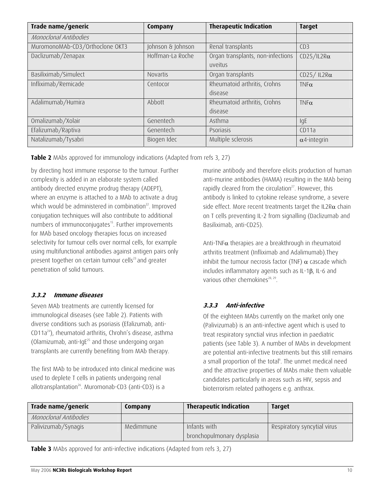<span id="page-9-0"></span>

| Trade name/generic              | Company           | <b>Therapeutic Indication</b>     | <b>Target</b>       |
|---------------------------------|-------------------|-----------------------------------|---------------------|
| Monoclonal Antibodies           |                   |                                   |                     |
| MuromonoMAb-CD3/Orthoclone OKT3 | Johnson & Johnson | Renal transplants                 | CD3                 |
| Daclizumab/Zenapax              | Hoffman-La Roche  | Organ transplants, non-infections | $CD25/IL2R\alpha$   |
|                                 |                   | uveitus                           |                     |
| Basiliximab/Simulect            | Novartis          | Organ transplants                 | CD25/IL2R $\alpha$  |
| Infliximab/Remicade             | Centocor          | Rheumatoid arthritis, Crohns      | $TNF\alpha$         |
|                                 |                   | disease                           |                     |
| Adalimumab/Humira               | Abbott            | Rheumatoid arthritis, Crohns      | $TNF\alpha$         |
|                                 |                   | disease                           |                     |
| Omalizumab/Xolair               | Genentech         | Asthma                            | IqE                 |
| Efalizumab/Raptiva              | Genentech         | Psoriasis                         | CD11a               |
| Natalizumab/Tysabri             | Biogen Idec       | Multiple sclerosis                | $\alpha$ 4-integrin |

**Table 2** MAbs approved for immunology indications (Adapted from refs 3, 27)

by directing host immune response to the tumour. Further complexity is added in an elaborate system called antibody directed enzyme prodrug therapy (ADEPT), where an enzyme is attached to a MAb to activate a drug which would be administered in combination<sup>22</sup>. Improved conjugation techniques will also contribute to additional numbers of immunoconjugates<sup>15</sup>. Further improvements for MAb based oncology therapies focus on increased selectivity for tumour cells over normal cells, for example using multifunctional antibodies against antigen pairs only present together on certain tumour cells<sup>23</sup> and greater penetration of solid tumours.

#### **3.3.2 Immune d seases i**

Seven MAb treatments are currently licensed for immunological diseases (see Table 2). Patients with diverse conditions such as psoriasis (Efalizumab, anti-CD11a24), rheumatoid arthritis, Chrohn's disease, asthma (Olamizumab, anti-Ig $E^{25}$  and those undergoing organ transplants are currently benefiting from MAb therapy.

The first MAb to be introduced into clinical medicine was used to deplete T cells in patients undergoing renal allotransplantation $26$ . Muromonab-CD3 (anti-CD3) is a

murine antibody and therefore elicits production of human anti-murine antibodies (HAMA) resulting in the MAb being rapidly cleared from the circulation $27$ . However, this antibody is linked to cytokine release syndrome, a severe side effect. More recent treatments target the IL2R $\alpha$  chain on T cells preventing IL-2 from signalling (Daclizumab and Basiliximab, anti-CD25).

Anti-TNF $\alpha$  therapies are a breakthrough in rheumatoid arthritis treatment (Infliximab and Adalimumab).They inhibit the tumour necrosis factor (TNF)  $\alpha$  cascade which includes inflammatory agents such as IL-1β, IL-6 and various other chemokines<sup>28, 29</sup>.

#### **3.3.3 Anti-infective**

Of the eighteen MAbs currently on the market only one (Palivizumab) is an anti-infective agent which is used to treat respiratory synctial virus infection in paediatric patients (see Table 3). A number of MAbs in development are potential anti-infective treatments but this still remains a small proportion of the total<sup>6</sup>. The unmet medical need and the attractive properties of MAbs make them valuable candidates particularly in areas such as HIV, sepsis and bioterrorism related pathogens e.g. anthrax.

| Trade name/generic    | Company   | <b>Therapeutic Indication</b>              | <b>Target</b>               |
|-----------------------|-----------|--------------------------------------------|-----------------------------|
| Monoclonal Antibodies |           |                                            |                             |
| Palivizumab/Synagis   | Medimmune | Infants with<br>bronchopulmonary dysplasia | Respiratory syncytial virus |

**Table 3** MAbs approved for anti-infective indications (Adapted from refs 3, 27)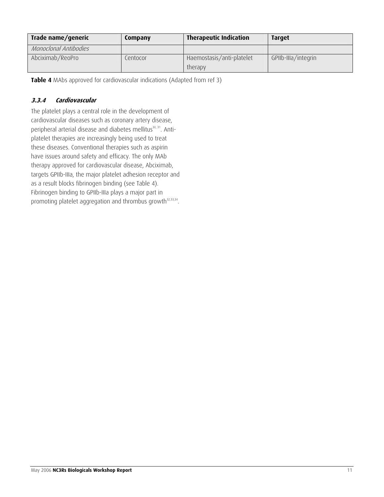<span id="page-10-0"></span>

| Trade name/generic    | Company  | <b>Therapeutic Indication</b>        | <b>Target</b>       |
|-----------------------|----------|--------------------------------------|---------------------|
| Monoclonal Antibodies |          |                                      |                     |
| Abciximab/ReoPro      | Centocor | Haemostasis/anti-platelet<br>therapy | GPIIb-IIIa/integrin |

**Table 4** MAbs approved for cardiovascular indications (Adapted from ref 3)

### **3.3.4 Cardiovascular**

The platelet plays a central role in the development of cardiovascular diseases such as coronary artery disease, peripheral arterial disease and diabetes mellitus<sup>30, 31</sup>. Antiplatelet therapies are increasingly being used to treat these diseases. Conventional therapies such as aspirin have issues around safety and efficacy. The only MAb therapy approved for cardiovascular disease, Abciximab, targets GPIIb-IIIa, the major platelet adhesion receptor and as a result blocks fibrinogen binding (see Table 4). Fibrinogen binding to GPIIb-IIIa plays a major part in promoting platelet aggregation and thrombus growth<sup>32,33,34</sup>.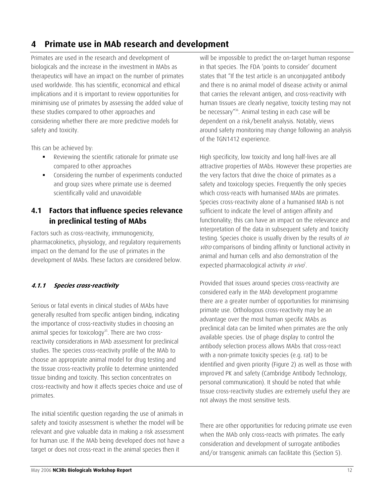## <span id="page-11-0"></span>**4 Primate use in MAb research and development**

Primates are used in the research and development of biologicals and the increase in the investment in MAbs as therapeutics will have an impact on the number of primates used worldwide. This has scientific, economical and ethical implications and it is important to review opportunities for minimising use of primates by assessing the added value of these studies compared to other approaches and considering whether there are more predictive models for safety and toxicity.

This can be achieved by:

- Reviewing the scientific rationale for primate use compared to other approaches
- Considering the number of experiments conducted and group sizes where primate use is deemed scientifically valid and unavoidable

## **4.1 Factors that influence species relevance in preclinical testing of MAbs**

Factors such as cross-reactivity, immunogenicity, pharmacokinetics, physiology, and regulatory requirements impact on the demand for the use of primates in the development of MAbs. These factors are considered below.

#### **4.1.1 Species cross-reactivity**

Serious or fatal events in clinical studies of MAbs have generally resulted from specific antigen binding, indicating the importance of cross-reactivity studies in choosing an animal species for toxicology<sup>35</sup>. There are two crossreactivity considerations in MAb assessment for preclinical studies. The species cross-reactivity profile of the MAb to choose an appropriate animal model for drug testing and the tissue cross-reactivity profile to determine unintended tissue binding and toxicity. This section concentrates on cross-reactivity and how it affects species choice and use of primates.

The initial scientific question regarding the use of animals in safety and toxicity assessment is whether the model will be relevant and give valuable data in making a risk assessment for human use. If the MAb being developed does not have a target or does not cross-react in the animal species then it

will be impossible to predict the on-target human response in that species. The FDA 'points to consider' document states that "If the test article is an unconjugated antibody and there is no animal model of disease activity or animal that carries the relevant antigen, and cross-reactivity with human tissues are clearly negative, toxicity testing may not be necessary"36. Animal testing in each case will be dependent on a risk/benefit analysis. Notably, views around safety monitoring may change following an analysis of the TGN1412 experience.

High specificity, low toxicity and long half-lives are all attractive properties of MAbs. However these properties are the very factors that drive the choice of primates as a safety and toxicology species. Frequently the only species which cross-reacts with humanised MAbs are primates. Species cross-reactivity alone of a humanised MAb is not sufficient to indicate the level of antigen affinity and functionality; this can have an impact on the relevance and interpretation of the data in subsequent safety and toxicity testing. Species choice is usually driven by the results of in vitro comparisons of binding affinity or functional activity in animal and human cells and also demonstration of the expected pharmacological activity in vivo<sup>1</sup>.

Provided that issues around species cross-reactivity are considered early in the MAb development programme there are a greater number of opportunities for minimising primate use. Orthologous cross-reactivity may be an advantage over the most human specific MAbs as preclinical data can be limited when primates are the only available species. Use of phage display to control the antibody selection process allows MAbs that cross-react with a non-primate toxicity species (e.g. rat) to be identified and given priority (Figure 2) as well as those with improved PK and safety (Cambridge Antibody Technology, personal communication). It should be noted that while tissue cross-reactivity studies are extremely useful they are not always the most sensitive tests.

There are other opportunities for reducing primate use even when the MAb only cross-reacts with primates. The early consideration and development of surrogate antibodies and/or transgenic animals can facilitate this (Section 5).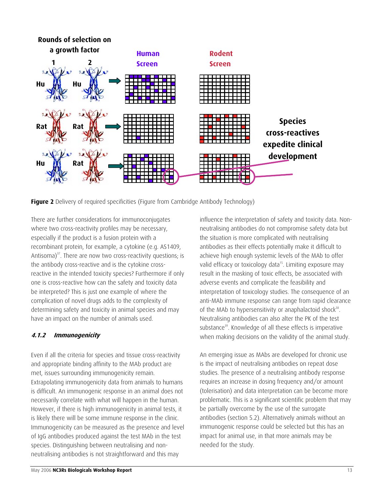<span id="page-12-0"></span>

**Figure 2** Delivery of required specificities (Figure from Cambridge Antibody Technology)

There are further considerations for immunoconjugates where two cross-reactivity profiles may be necessary, especially if the product is a fusion protein with a recombinant protein, for example, a cytokine (e.g. AS1409, Antisoma)<sup>37</sup>. There are now two cross-reactivity questions; is the antibody cross-reactive and is the cytokine crossreactive in the intended toxicity species? Furthermore if only one is cross-reactive how can the safety and toxicity data be interpreted? This is just one example of where the complication of novel drugs adds to the complexity of determining safety and toxicity in animal species and may have an impact on the number of animals used.

#### **4.1.2 Immunogenicity**

Even if all the criteria for species and tissue cross-reactivity and appropriate binding affinity to the MAb product are met, issues surrounding immunogenicity remain. Extrapolating immunogenicity data from animals to humans is difficult. An immunogenic response in an animal does not necessarily correlate with what will happen in the human. However, if there is high immunogenicity in animal tests, it is likely there will be some immune response in the clinic. Immunogenicity can be measured as the presence and level of IgG antibodies produced against the test MAb in the test species. Distinguishing between neutralising and nonneutralising antibodies is not straightforward and this may

influence the interpretation of safety and toxicity data. Nonneutralising antibodies do not compromise safety data but the situation is more complicated with neutralising antibodies as their effects potentially make it difficult to achieve high enough systemic levels of the MAb to offer valid efficacy or toxicology data<sup>15</sup>. Limiting exposure may result in the masking of toxic effects, be associated with adverse events and complicate the feasibility and interpretation of toxicology studies. The consequence of an anti-MAb immune response can range from rapid clearance of the MAb to hypersensitivity or anaphalactoid shock $38$ . Neutralising antibodies can also alter the PK of the test substance<sup>39</sup>. Knowledge of all these effects is imperative when making decisions on the validity of the animal study.

An emerging issue as MAbs are developed for chronic use is the impact of neutralising antibodies on repeat dose studies. The presence of a neutralising antibody response requires an increase in dosing frequency and/or amount (tolerisation) and data interpretation can be become more problematic. This is a significant scientific problem that may be partially overcome by the use of the surrogate antibodies (section 5.2). Alternatively animals without an immunogenic response could be selected but this has an impact for animal use, in that more animals may be needed for the study.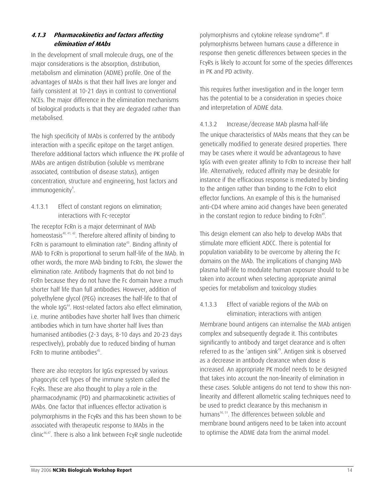#### <span id="page-13-0"></span>**4.1.3 Pharmacokinetics and factors affecting elimination of MAbs**

In the development of small molecule drugs, one of the major considerations is the absorption, distribution, metabolism and elimination (ADME) profile. One of the advantages of MAbs is that their half lives are longer and fairly consistent at 10-21 days in contrast to conventional NCEs. The major difference in the elimination mechanisms of biological products is that they are degraded rather than metabolised.

The high specificity of MAbs is conferred by the antibody interaction with a specific epitope on the target antigen. Therefore additional factors which influence the PK profile of MAbs are antigen distribution (soluble vs membrane associated, contribution of disease status), antigen concentration, structure and engineering, host factors and immunogenicity<sup>9</sup>.

4.1.3.1 Effect of constant regions on elimination; interactions with Fc-receptor

The receptor FcRn is a major determinant of MAb homeostasis<sup>40, 41, 42</sup>. Therefore altered affinity of binding to FcRn is paramount to elimination rate<sup>43</sup>. Binding affinity of MAb to FcRn is proportional to serum half-life of the MAb. In other words, the more MAb binding to FcRn, the slower the elimination rate. Antibody fragments that do not bind to FcRn because they do not have the Fc domain have a much shorter half life than full antibodies. However, addition of polyethylene glycol (PEG) increases the half-life to that of the whole IqG<sup>44</sup>. Host-related factors also effect elimination, i.e. murine antibodies have shorter half lives than chimeric antibodies which in turn have shorter half lives than humanised antibodies (2-3 days, 8-10 days and 20-23 days respectively), probably due to reduced binding of human FcRn to murine antibodies<sup>45</sup>.

There are also receptors for IgGs expressed by various phagocytic cell types of the immune system called the FcγRs. These are also thought to play a role in the pharmacodynamic (PD) and pharmacokinetic activities of MAbs. One factor that influences effector activation is polymorphisms in the FcγRs and this has been shown to be associated with therapeutic response to MAbs in the clinic46,47. There is also a link between FcγR single nucleotide polymorphisms and cytokine release syndrome<sup>48</sup>. If polymorphisms between humans cause a difference in response then genetic differences between species in the FcγRs is likely to account for some of the species differences in PK and PD activity.

This requires further investigation and in the longer term has the potential to be a consideration in species choice and interpretation of ADME data.

4.1.3.2 Increase/decrease MAb plasma half-life The unique characteristics of MAbs means that they can be genetically modified to generate desired properties. There may be cases where it would be advantageous to have IgGs with even greater affinity to FcRn to increase their half life. Alternatively, reduced affinity may be desirable for instance if the efficacious response is mediated by binding to the antigen rather than binding to the FcRn to elicit effector functions. An example of this is the humanised anti-CD4 where amino acid changes have been generated in the constant region to reduce binding to FcRn<sup>49</sup>.

This design element can also help to develop MAbs that stimulate more efficient ADCC. There is potential for population variability to be overcome by altering the Fc domains on the MAb. The implications of changing MAb plasma half-life to modulate human exposure should to be taken into account when selecting appropriate animal species for metabolism and toxicology studies

#### 4.1.3.3 Effect of variable regions of the MAb on elimination; interactions with antigen

Membrane bound antigens can internalise the MAb antigen complex and subsequently degrade it. This contributes significantly to antibody and target clearance and is often referred to as the 'antigen sink'<sup>9</sup>. Antigen sink is observed as a decrease in antibody clearance when dose is increased. An appropriate PK model needs to be designed that takes into account the non-linearity of elimination in these cases. Soluble antigens do not tend to show this nonlinearity and different allometric scaling techniques need to be used to predict clearance by this mechanism in humans<sup>50, 51</sup>. The differences between soluble and membrane bound antigens need to be taken into account to optimise the ADME data from the animal model.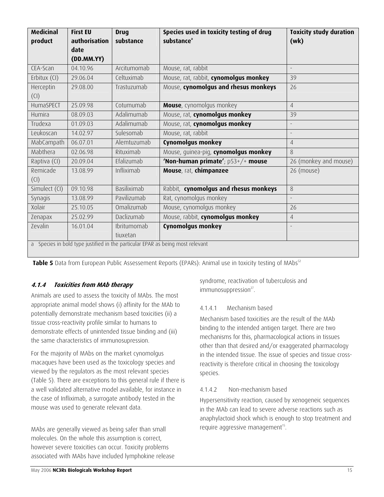<span id="page-14-0"></span>

| <b>Medicinal</b> | <b>First EU</b> | <b>Drug</b> | Species used in toxicity testing of drug                                       | <b>Toxicity study duration</b> |
|------------------|-----------------|-------------|--------------------------------------------------------------------------------|--------------------------------|
| product          | authorisation   | substance   | substance <sup>®</sup>                                                         | (wk)                           |
|                  | date            |             |                                                                                |                                |
|                  | (DD.MM.YY)      |             |                                                                                |                                |
| CEA-Scan         | 04.10.96        | Arcitumomab | Mouse, rat, rabbit                                                             | $\overline{\phantom{a}}$       |
| Erbitux (CI)     | 29.06.04        | Celtuximab  | Mouse, rat, rabbit, cynomolgus monkey                                          | 39                             |
| Herceptin        | 29.08.00        | Trastuzumab | Mouse, cynomolgus and rhesus monkeys                                           | 26                             |
| (CI)             |                 |             |                                                                                |                                |
| HumaSPECT        | 25.09.98        | Cotumumab   | Mouse, cynomolgus monkey                                                       | $\overline{4}$                 |
| Humira           | 08.09.03        | Adalimumab  | Mouse, rat, cynomolgus monkey                                                  | 39                             |
| Trudexa          | 01.09.03        | Adalimumab  | Mouse, rat, cynomolgus monkey                                                  | $\overline{\phantom{a}}$       |
| Leukoscan        | 14.02.97        | Sulesomab   | Mouse, rat, rabbit                                                             | $\overline{\phantom{a}}$       |
| MabCampath       | 06.07.01        | Alemtuzumab | Cynomolgus monkey                                                              | $\overline{4}$                 |
| Mabthera         | 02.06.98        | Rituximab   | Mouse, guinea-pig, cynomolgus monkey                                           | 8                              |
| Raptiva (CI)     | 20.09.04        | Efalizumab  | 'Non-human primate'; $p53+/+$ mouse                                            | 26 (monkey and mouse)          |
| Remicade         | 13.08.99        | Infliximab  | Mouse, rat, chimpanzee                                                         | 26 (mouse)                     |
| (CI)             |                 |             |                                                                                |                                |
| Simulect (CI)    | 09.10.98        | Basiliximab | Rabbit, cynomolgus and rhesus monkeys                                          | 8                              |
| Synagis          | 13.08.99        | Pavilizumab | Rat, cynomolgus monkey                                                         |                                |
| Xolair           | 25.10.05        | Omalizumab  | Mouse, cynomolgus monkey                                                       | 26                             |
| Zenapax          | 25.02.99        | Daclizumab  | Mouse, rabbit, cynomolgus monkey                                               | $\overline{4}$                 |
| Zevalin          | 16.01.04        | Ibritumomab | <b>Cynomolgus monkey</b>                                                       | $\overline{a}$                 |
|                  |                 | tiuxetan    |                                                                                |                                |
|                  |                 |             | a Species in bold type justified in the particular EPAR as being most relevant |                                |

**Table 5** Data from European Public Assessement Reports (EPARs): Animal use in toxicity testing of MAbs<sup>52</sup>

#### **4.1.4 Toxicities from MAb therapy**

Animals are used to assess the toxicity of MAbs. The most appropriate animal model shows (i) affinity for the MAb to potentially demonstrate mechanism based toxicities (ii) a tissue cross-reactivity profile similar to humans to demonstrate effects of unintended tissue binding and (iii) the same characteristics of immunosupression.

For the majority of MAbs on the market cynomolgus macaques have been used as the toxicology species and viewed by the regulators as the most relevant species (Table 5). There are exceptions to this general rule if there is a well validated alternative model available, for instance in the case of Infliximab, a surrogate antibody tested in the mouse was used to generate relevant data.

MAbs are generally viewed as being safer than small molecules. On the whole this assumption is correct, however severe toxicities can occur. Toxicity problems associated with MAbs have included lymphokine release syndrome, reactivation of tuberculosis and immunosuppression<sup>27</sup>.

#### 4.1.4.1 Mechanism based

Mechanism based toxicities are the result of the MAb binding to the intended antigen target. There are two mechanisms for this, pharmacological actions in tissues other than that desired and/or exaggerated pharmacology in the intended tissue. The issue of species and tissue crossreactivity is therefore critical in choosing the toxicology species.

#### 4.1.4.2 Non-mechanism based

Hypersensitivity reaction, caused by xenogeneic sequences in the MAb can lead to severe adverse reactions such as anaphylactoid shock which is enough to stop treatment and require aggressive management<sup>15</sup>.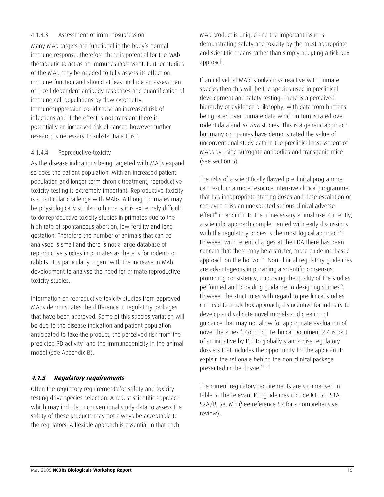#### <span id="page-15-0"></span>4.1.4.3 Assessment of immunosupression

Many MAb targets are functional in the body's normal immune response, therefore there is potential for the MAb therapeutic to act as an immunesuppressant. Further studies of the MAb may be needed to fully assess its effect on immune function and should at least include an assessment of T-cell dependent antibody responses and quantification of immune cell populations by flow cytometry. Immunesuppression could cause an increased risk of infections and if the effect is not transient there is potentially an increased risk of cancer, however further research is necessary to substantiate this<sup>53</sup>.

#### 4.1.4.4 Reproductive toxicity

As the disease indications being targeted with MAbs expand so does the patient population. With an increased patient population and longer term chronic treatment, reproductive toxicity testing is extremely important. Reproductive toxicity is a particular challenge with MAbs. Although primates may be physiologically similar to humans it is extremely difficult to do reproductive toxicity studies in primates due to the high rate of spontaneous abortion, low fertility and long gestation. Therefore the number of animals that can be analysed is small and there is not a large database of reproductive studies in primates as there is for rodents or rabbits. It is particularly urgent with the increase in MAb development to analyse the need for primate reproductive toxicity studies.

Information on reproductive toxicity studies from approved MAbs demonstrates the difference in regulatory packages that have been approved. Some of this species variation will be due to the disease indication and patient population anticipated to take the product, the perceived risk from the predicted PD activity<sup>1</sup> and the immunogenicity in the animal model (see Appendix B).

#### **4.1.5 Regulatory requirements**

Often the regulatory requirements for safety and toxicity testing drive species selection. A robust scientific approach which may include unconventional study data to assess the safety of these products may not always be acceptable to the regulators. A flexible approach is essential in that each

MAb product is unique and the important issue is demonstrating safety and toxicity by the most appropriate and scientific means rather than simply adopting a tick box approach.

If an individual MAb is only cross-reactive with primate species then this will be the species used in preclinical development and safety testing. There is a perceived hierarchy of evidence philosophy, with data from humans being rated over primate data which in turn is rated over rodent data and *in vitro* studies. This is a generic approach but many companies have demonstrated the value of unconventional study data in the preclinical assessment of MAbs by using surrogate antibodies and transgenic mice (see section 5).

The risks of a scientifically flawed preclinical programme can result in a more resource intensive clinical programme that has inappropriate starting doses and dose escalation or can even miss an unexpected serious clinical adverse effect<sup>44</sup> in addition to the unnecessary animal use. Currently, a scientific approach complemented with early discussions with the regulatory bodies is the most logical approach $52$ . However with recent changes at the FDA there has been concern that there may be a stricter, more guideline-based approach on the horizon<sup>54</sup>. Non-clinical regulatory guidelines are advantageous in providing a scientific consensus, promoting consistency, improving the quality of the studies performed and providing guidance to designing studies<sup>55</sup>. However the strict rules with regard to preclinical studies can lead to a tick-box approach, disincentive for industry to develop and validate novel models and creation of guidance that may not allow for appropriate evaluation of novel therapies<sup>54</sup>. Common Technical Document 2.4 is part of an initiative by ICH to globally standardise regulatory dossiers that includes the opportunity for the applicant to explain the rationale behind the non-clinical package presented in the dossier<sup>56, 57</sup>.

The current regulatory requirements are summarised in table 6. The relevant ICH guidelines include ICH S6, S1A, S2A/B, S8, M3 (See reference 52 for a comprehensive review).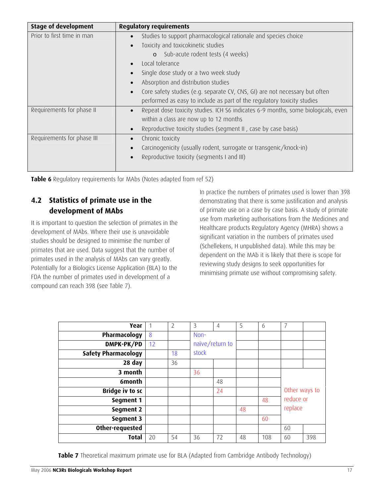<span id="page-16-0"></span>

| <b>Stage of development</b> | <b>Regulatory requirements</b>                                                                 |
|-----------------------------|------------------------------------------------------------------------------------------------|
| Prior to first time in man  | Studies to support pharmacological rationale and species choice                                |
|                             | Toxicity and toxicokinetic studies                                                             |
|                             | o Sub-acute rodent tests (4 weeks)                                                             |
|                             | Local tolerance                                                                                |
|                             | Single dose study or a two week study                                                          |
|                             | Absorption and distribution studies                                                            |
|                             | Core safety studies (e.g. separate CV, CNS, GI) are not necessary but often                    |
|                             | performed as easy to include as part of the regulatory toxicity studies                        |
| Requirements for phase II   | Repeat dose toxicity studies. ICH S6 indicates 6-9 months, some biologicals, even<br>$\bullet$ |
|                             | within a class are now up to 12 months                                                         |
|                             | Reproductive toxicity studies (segment II, case by case basis)                                 |
| Requirements for phase III  | Chronic toxicity                                                                               |
|                             | Carcinogenicity (usually rodent, surrogate or transgenic/knock-in)                             |
|                             | Reproductive toxicity (segments I and III)                                                     |
|                             |                                                                                                |

**Table 6** Regulatory requirements for MAbs (Notes adapted from ref 52)

## **4.2 Statistics of primate use in the development of MAbs**

It is important to question the selection of primates in the development of MAbs. Where their use is unavoidable studies should be designed to minimise the number of primates that are used. Data suggest that the number of primates used in the analysis of MAbs can vary greatly. Potentially for a Biologics License Application (BLA) to the FDA the number of primates used in development of a compound can reach 398 (see Table 7).

In practice the numbers of primates used is lower than 398 demonstrating that there is some justification and analysis of primate use on a case by case basis. A study of primate use from marketing authorisations from the Medicines and Healthcare products Regulatory Agency (MHRA) shows a significant variation in the numbers of primates used (Schellekens, H unpublished data). While this may be dependent on the MAb it is likely that there is scope for reviewing study designs to seek opportunities for minimising primate use without compromising safety.

| Year                       |    | $\overline{2}$ | 3     | 4               | 5  | 6   | 7             |     |
|----------------------------|----|----------------|-------|-----------------|----|-----|---------------|-----|
| Pharmacology               | 8  |                | Non-  |                 |    |     |               |     |
| DMPK-PK/PD                 | 12 |                |       | naïve/return to |    |     |               |     |
| <b>Safety Pharmacology</b> |    | 18             | stock |                 |    |     |               |     |
| 28 day                     |    | 36             |       |                 |    |     |               |     |
| 3 month                    |    |                | 36    |                 |    |     |               |     |
| 6month                     |    |                |       | 48              |    |     |               |     |
| <b>Bridge iv to sc</b>     |    |                |       | 24              |    |     | Other ways to |     |
| Segment 1                  |    |                |       |                 |    | 48  | reduce or     |     |
| Segment 2                  |    |                |       |                 | 48 |     | replace       |     |
| Segment 3                  |    |                |       |                 |    | 60  |               |     |
| Other-requested            |    |                |       |                 |    |     | 60            |     |
| <b>Total</b>               | 20 | 54             | 36    | 72              | 48 | 108 | 60            | 398 |

**Table 7** Theoretical maximum primate use for BLA (Adapted from Cambridge Antibody Technology)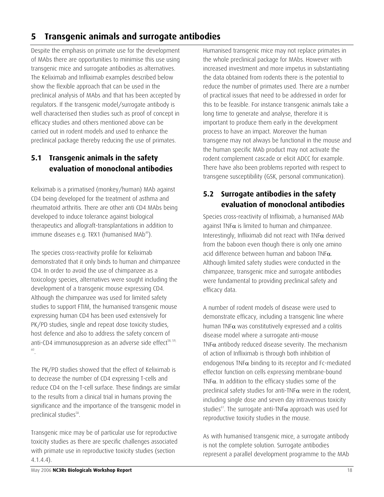## <span id="page-17-0"></span>**5 Transgenic animals and surrogate antibodies**

Despite the emphasis on primate use for the development of MAbs there are opportunities to minimise this use using transgenic mice and surrogate antibodies as alternatives. The Keliximab and Infliximab examples described below show the flexible approach that can be used in the preclinical analysis of MAbs and that has been accepted by regulators. If the transgenic model/surrogate antibody is well characterised then studies such as proof of concept in efficacy studies and others mentioned above can be carried out in rodent models and used to enhance the preclinical package thereby reducing the use of primates.

## **5.1 Transgenic animals in the safety evaluation of monoclonal antibodies**

Keliximab is a primatised (monkey/human) MAb against CD4 being developed for the treatment of asthma and rheumatoid arthritis. There are other anti CD4 MAbs being developed to induce tolerance against biological therapeutics and allograft-transplantations in addition to immune diseases e.g. TRX1 (humanised MAb<sup>49</sup>).

The species cross-reactivity profile for Keliximab demonstrated that it only binds to human and chimpanzee CD4. In order to avoid the use of chimpanzee as a toxicology species, alternatives were sought including the development of a transgenic mouse expressing CD4. Although the chimpanzee was used for limited safety studies to support FTIM, the humanised transgenic mouse expressing human CD4 has been used extensively for PK/PD studies, single and repeat dose toxicity studies, host defence and also to address the safety concern of anti-CD4 immunosuppresion as an adverse side effect<sup>58, 59,</sup> 60 .

The PK/PD studies showed that the effect of Keliximab is to decrease the number of CD4 expressing T-cells and reduce CD4 on the T-cell surface. These findings are similar to the results from a clinical trial in humans proving the significance and the importance of the transgenic model in preclinical studies<sup>58</sup>.

Transgenic mice may be of particular use for reproductive toxicity studies as there are specific challenges associated with primate use in reproductive toxicity studies (section 4.1.4.4).

Humanised transgenic mice may not replace primates in the whole preclinical package for MAbs. However with increased investment and more impetus in substantiating the data obtained from rodents there is the potential to reduce the number of primates used. There are a number of practical issues that need to be addressed in order for this to be feasible. For instance transgenic animals take a long time to generate and analyse, therefore it is important to produce them early in the development process to have an impact. Moreover the human transgene may not always be functional in the mouse and the human specific MAb product may not activate the rodent complement cascade or elicit ADCC for example. There have also been problems reported with respect to transgene susceptibility (GSK, personal communication).

## **5.2 Surrogate antibodies in the safety evaluation of monoclonal antibodies**

Species cross-reactivity of Infliximab, a humanised MAb against TNF $\alpha$  is limited to human and chimpanzee. Interestingly, Infliximab did not react with TNF $\alpha$  derived from the baboon even though there is only one amino acid difference between human and baboon  $INFa$ . Although limited safety studies were conducted in the chimpanzee, transgenic mice and surrogate antibodies were fundamental to providing preclinical safety and efficacy data.

A number of rodent models of disease were used to demonstrate efficacy, including a transgenic line where human TNF $\alpha$  was constitutively expressed and a colitis disease model where a surrogate anti-mouse TNF $\alpha$  antibody reduced disease severity. The mechanism of action of Infliximab is through both inhibition of endogenous TNF $\alpha$  binding to its receptor and Fc-mediated effector function on cells expressing membrane-bound TNF $\alpha$ . In addition to the efficacy studies some of the preclinical safety studies for anti-TNF $\alpha$  were in the rodent, including single dose and seven day intravenous toxicity studies<sup>61</sup>. The surrogate anti-TNF $\alpha$  approach was used for reproductive toxicity studies in the mouse.

As with humanised transgenic mice, a surrogate antibody is not the complete solution. Surrogate antibodies represent a parallel development programme to the MAb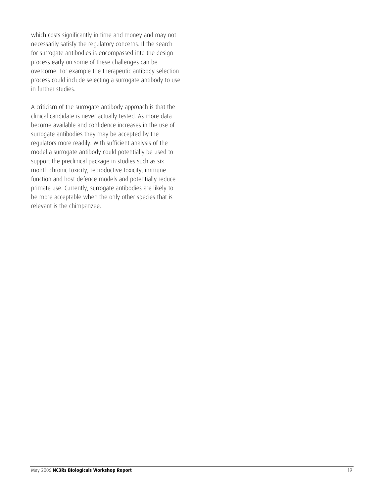which costs significantly in time and money and may not necessarily satisfy the regulatory concerns. If the search for surrogate antibodies is encompassed into the design process early on some of these challenges can be overcome. For example the therapeutic antibody selection process could include selecting a surrogate antibody to use in further studies.

A criticism of the surrogate antibody approach is that the clinical candidate is never actually tested. As more data become available and confidence increases in the use of surrogate antibodies they may be accepted by the regulators more readily. With sufficient analysis of the model a surrogate antibody could potentially be used to support the preclinical package in studies such as six month chronic toxicity, reproductive toxicity, immune function and host defence models and potentially reduce primate use. Currently, surrogate antibodies are likely to be more acceptable when the only other species that is relevant is the chimpanzee.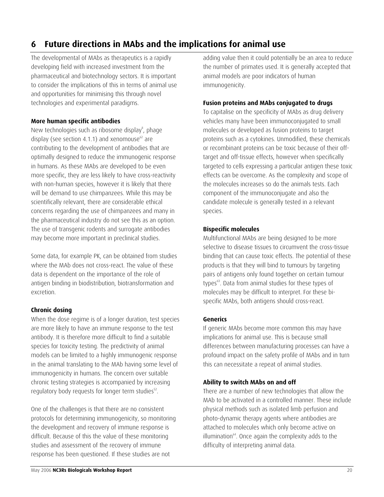## <span id="page-19-0"></span>**6 Future directions in MAbs and the implications for animal use**

The developmental of MAbs as therapeutics is a rapidly developing field with increased investment from the pharmaceutical and biotechnology sectors. It is important to consider the implications of this in terms of animal use and opportunities for minimising this through novel technologies and experimental paradigms.

#### **More human specific antibodies**

New technologies such as ribosome display<sup>8</sup>, phage display (see section 4.1.1) and xenomouse $62$  are contributing to the development of antibodies that are optimally designed to reduce the immunogenic response in humans. As these MAbs are developed to be even more specific, they are less likely to have cross-reactivity with non-human species, however it is likely that there will be demand to use chimpanzees. While this may be scientifically relevant, there are considerable ethical concerns regarding the use of chimpanzees and many in the pharmaceutical industry do not see this as an option. The use of transgenic rodents and surrogate antibodies may become more important in preclinical studies.

Some data, for example PK, can be obtained from studies where the MAb does not cross-react. The value of these data is dependent on the importance of the role of antigen binding in biodistribution, biotransformation and excretion.

#### **Chronic dosing**

When the dose regime is of a longer duration, test species are more likely to have an immune response to the test antibody. It is therefore more difficult to find a suitable species for toxicity testing. The predictivity of animal models can be limited to a highly immunogenic response in the animal translating to the MAb having some level of immunogenicity in humans. The concern over suitable chronic testing strategies is accompanied by increasing regulatory body requests for longer term studies<sup>52</sup>.

One of the challenges is that there are no consistent protocols for determining immunogenicity, so monitoring the development and recovery of immune response is difficult. Because of this the value of these monitoring studies and assessment of the recovery of immune response has been questioned. If these studies are not

adding value then it could potentially be an area to reduce the number of primates used. It is generally accepted that animal models are poor indicators of human immunogenicity.

#### **Fusion proteins and MAbs conjugated to drugs**

To capitalise on the specificity of MAbs as drug delivery vehicles many have been immunoconjugated to small molecules or developed as fusion proteins to target proteins such as a cytokines. Unmodified, these chemicals or recombinant proteins can be toxic because of their offtarget and off-tissue effects, however when specifically targeted to cells expressing a particular antigen these toxic effects can be overcome. As the complexity and scope of the molecules increases so do the animals tests. Each component of the immunoconjugate and also the candidate molecule is generally tested in a relevant species.

#### **Bispecific molecules**

Multifunctional MAbs are being designed to be more selective to disease tissues to circumvent the cross-tissue binding that can cause toxic effects. The potential of these products is that they will bind to tumours by targeting pairs of antigens only found together on certain tumour types<sup>63</sup>. Data from animal studies for these types of molecules may be difficult to interpret. For these bispecific MAbs, both antigens should cross-react.

#### **Generics**

If generic MAbs become more common this may have implications for animal use. This is because small differences between manufacturing processes can have a profound impact on the safety profile of MAbs and in turn this can necessitate a repeat of animal studies.

#### **Ability to switch MAbs on and off**

There are a number of new technologies that allow the MAb to be activated in a controlled manner. These include physical methods such as isolated limb perfusion and photo-dynamic therapy agents where antibodies are attached to molecules which only become active on illumination $^{64}$ . Once again the complexity adds to the difficulty of interpreting animal data.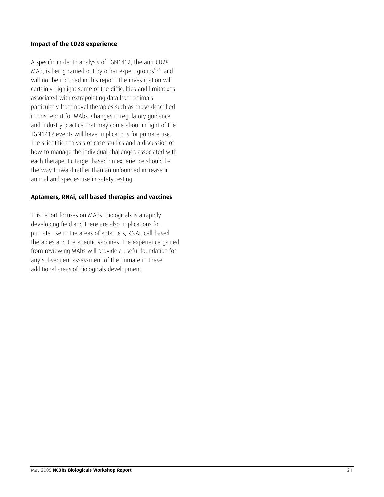#### **Impact of the CD28 experience**

A specific in depth analysis of TGN1412, the anti-CD28 MAb, is being carried out by other expert groups<sup>65, 66</sup> and will not be included in this report. The investigation will certainly highlight some of the difficulties and limitations associated with extrapolating data from animals particularly from novel therapies such as those described in this report for MAbs. Changes in regulatory guidance and industry practice that may come about in light of the TGN1412 events will have implications for primate use. The scientific analysis of case studies and a discussion of how to manage the individual challenges associated with each therapeutic target based on experience should be the way forward rather than an unfounded increase in animal and species use in safety testing.

#### **Aptamers, RNAi, cell based therapies and vaccines**

This report focuses on MAbs. Biologicals is a rapidly developing field and there are also implications for primate use in the areas of aptamers, RNAi, cell-based therapies and therapeutic vaccines. The experience gained from reviewing MAbs will provide a useful foundation for any subsequent assessment of the primate in these additional areas of biologicals development.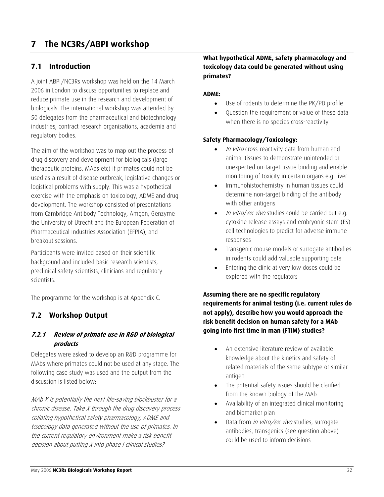# <span id="page-21-0"></span>**7 The NC3Rs/ABPI workshop**

## **7.1 Introduction**

A joint ABPI/NC3Rs workshop was held on the 14 March 2006 in London to discuss opportunities to replace and reduce primate use in the research and development of biologicals. The international workshop was attended by 50 delegates from the pharmaceutical and biotechnology industries, contract research organisations, academia and regulatory bodies.

The aim of the workshop was to map out the process of drug discovery and development for biologicals (large therapeutic proteins, MAbs etc) if primates could not be used as a result of disease outbreak, legislative changes or logistical problems with supply. This was a hypothetical exercise with the emphasis on toxicology, ADME and drug development. The workshop consisted of presentations from Cambridge Antibody Technology, Amgen, Genzyme the University of Utrecht and the European Federation of Pharmaceutical Industries Association (EFPIA), and breakout sessions.

Participants were invited based on their scientific background and included basic research scientists, preclinical safety scientists, clinicians and regulatory scientists.

The programme for the workshop is at Appendix C.

## **7.2 Workshop Output**

#### 7.2.1 Review of primate use in R&D of biological **products**

Delegates were asked to develop an R&D programme for MAbs where primates could not be used at any stage. The following case study was used and the output from the discussion is listed below:

MAb X is potentially the next life-saving blockbuster for a toxicology data generated without the use of primates. In the current regulatory environment make a risk benefit chronic disease. Take X through the drug discovery process collating hypothetical safety pharmacology, ADME and decision about putting X into phase I clinical studies?

#### **What hypothetical ADME, safety pharmacology and toxicology data could be generated without using primates?**

#### **ADME:**

- Use of rodents to determine the PK/PD profile
- Question the requirement or value of these data when there is no species cross-reactivity

#### **Safety Pharmacology/Toxicology:**

- *In vitro* cross-reactivity data from human and animal tissues to demonstrate unintended or unexpected on-target tissue binding and enable monitoring of toxicity in certain organs e.g. liver
- Immunohistochemistry in human tissues could determine non-target binding of the antibody with other antigens
- In vitro/ ex vivo studies could be carried out e.g. cytokine release assays and embryonic stem (ES) cell technologies to predict for adverse immune responses
- Transgenic mouse models or surrogate antibodies in rodents could add valuable supporting data
- Entering the clinic at very low doses could be explored with the regulators

**Assuming there are no specific regulatory requirements for animal testing (i.e. current rules do not apply), describe how you would approach the risk benefit decision on human safety for a MAb going into first time in man (FTIM) studies?** 

- An extensive literature review of available knowledge about the kinetics and safety of related materials of the same subtype or similar antigen
- The potential safety issues should be clarified from the known biology of the MAb
- Availability of an integrated clinical monitoring and biomarker plan
- Data from *in vitro/ex vivo* studies, surrogate antibodies, transgenics (see question above) could be used to inform decisions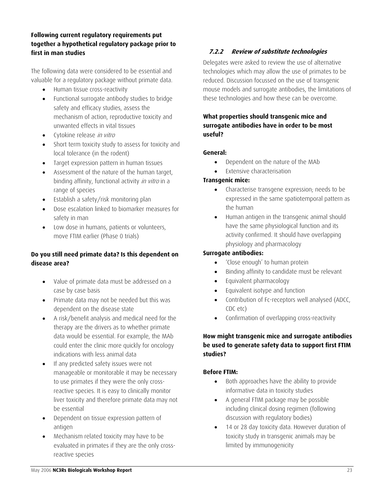#### <span id="page-22-0"></span>**Following current regulatory requirements put together a hypothetical regulatory package prior to first in man studies**

The following data were considered to be essential and valuable for a regulatory package without primate data.

- Human tissue cross-reactivity
- Functional surrogate antibody studies to bridge safety and efficacy studies, assess the mechanism of action, reproductive toxicity and unwanted effects in vital tissues
- Cytokine release in vitro
- Short term toxicity study to assess for toxicity and local tolerance (in the rodent)
- Target expression pattern in human tissues
- Assessment of the nature of the human target, binding affinity, functional activity *in vitro* in a range of species
- Establish a safety/risk monitoring plan
- Dose escalation linked to biomarker measures for safety in man
- Low dose in humans, patients or volunteers, move FTIM earlier (Phase 0 trials)

### **Do you still need primate data? Is this dependent on disease area?**

- Value of primate data must be addressed on a case by case basis
- Primate data may not be needed but this was dependent on the disease state
- A risk/benefit analysis and medical need for the therapy are the drivers as to whether primate data would be essential. For example, the MAb could enter the clinic more quickly for oncology indications with less animal data
- If any predicted safety issues were not manageable or monitorable it may be necessary to use primates if they were the only crossreactive species. It is easy to clinically monitor liver toxicity and therefore primate data may not be essential
- Dependent on tissue expression pattern of antigen
- Mechanism related toxicity may have to be evaluated in primates if they are the only crossreactive species

## **7.2.2 Review of substitute technologies**

Delegates were asked to review the use of alternative technologies which may allow the use of primates to be reduced. Discussion focussed on the use of transgenic mouse models and surrogate antibodies, the limitations of these technologies and how these can be overcome.

### **What properties should transgenic mice and surrogate antibodies have in order to be most useful?**

### **General:**

- Dependent on the nature of the MAb
- Extensive characterisation

### **Transgenic mice:**

- Characterise transgene expression; needs to be expressed in the same spatiotemporal pattern as the human
- Human antigen in the transgenic animal should have the same physiological function and its activity confirmed. It should have overlapping physiology and pharmacology

### **Surrogate antibodies:**

- 'Close enough' to human protein
- Binding affinity to candidate must be relevant
- Equivalent pharmacology
- Equivalent isotype and function
- Contribution of Fc-receptors well analysed (ADCC, CDC etc)
- Confirmation of overlapping cross-reactivity

### **How might transgenic mice and surrogate antibodies be used to generate safety data to support first FTIM studies?**

### **Before FTIM:**

- Both approaches have the ability to provide informative data in toxicity studies
- A general FTIM package may be possible including clinical dosing regimen (following discussion with regulatory bodies)
- 14 or 28 day toxicity data. However duration of toxicity study in transgenic animals may be limited by immunogenicity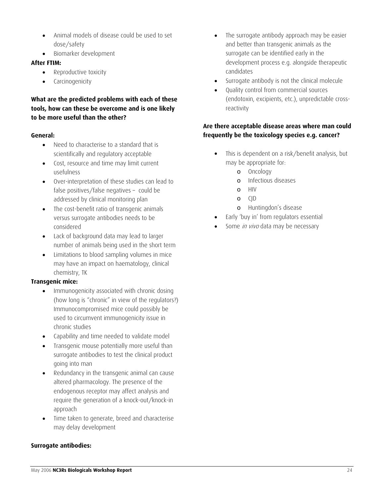- Animal models of disease could be used to set dose/safety
- Biomarker development

#### **After FTIM:**

- Reproductive toxicity
- Carcinogenicity

### **What are the predicted problems with each of these tools, how can these be overcome and is one likely to be more useful than the other?**

#### **General:**

- Need to characterise to a standard that is scientifically and regulatory acceptable
- Cost, resource and time may limit current usefulness
- Over-interpretation of these studies can lead to false positives/false negatives – could be addressed by clinical monitoring plan
- The cost-benefit ratio of transgenic animals versus surrogate antibodies needs to be considered
- Lack of background data may lead to larger number of animals being used in the short term
- Limitations to blood sampling volumes in mice may have an impact on haematology, clinical chemistry, TK

#### **Transgenic mice:**

- Immunogenicity associated with chronic dosing (how long is "chronic" in view of the regulators?) Immunocompromised mice could possibly be used to circumvent immunogenicity issue in chronic studies
- Capability and time needed to validate model
- Transgenic mouse potentially more useful than surrogate antibodies to test the clinical product going into man
- Redundancy in the transgenic animal can cause altered pharmacology. The presence of the endogenous receptor may affect analysis and require the generation of a knock-out/knock-in approach
- Time taken to generate, breed and characterise may delay development

#### **Surrogate antibodies:**

- The surrogate antibody approach may be easier and better than transgenic animals as the surrogate can be identified early in the development process e.g. alongside therapeutic candidates
- Surrogate antibody is not the clinical molecule
- Quality control from commercial sources (endotoxin, excipients, etc.), unpredictable crossreactivity

### **Are there acceptable disease areas where man could frequently be the toxicology species e.g. cancer?**

- This is dependent on a risk/benefit analysis, but may be appropriate for:
	- o Oncology
	- o Infectious diseases
	- $\sim$  HIV
	- o CJD
	- o Huntingdon's disease
- Early 'buy in' from regulators essential
- Some *in vivo* data may be necessary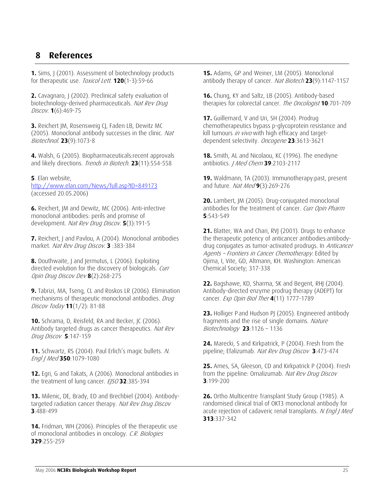## <span id="page-24-0"></span>**8 References**

**1.** Sims, J (2001). Assessment of biotechnology products for therapeutic use. Toxicol Lett. **120**(1-3):59-66

**2.** Cavagnaro, J (2002). Preclinical safety evaluation of biotechnology-derived pharmaceuticals. *Nat Rev Drug* Discov. **1**(6):469-75

**3.** [Reichert JM, Rosensweig CJ, Faden LB, Dewitz MC](http://www.ncbi.nlm.nih.gov/entrez/query.fcgi?cmd=Retrieve&db=pubmed&dopt=Abstract&list_uids=16151394&query_hl=9&itool=pubmed_DocSum)  [\(2005\).](http://www.ncbi.nlm.nih.gov/entrez/query.fcgi?cmd=Retrieve&db=pubmed&dopt=Abstract&list_uids=16151394&query_hl=9&itool=pubmed_DocSum) Monoclonal antibody successes in the clinic. Nat Biotechnol. **23**(9):1073-8

**4.** Walsh, G (2005). Biopharmaceuticals:recent approvals and likely directions. Trends in Biotech. **23**(11):554-558

**5**. Elan website,

<http://www.elan.com/News/full.asp?ID=849173> (accessed 20.05.2006)

**6.** Reichert, JM and Dewitz, MC (2006). Anti-infective monoclonal antibodies: perils and promise of development. Nat Rev Drug Discov. **5**(3):191-5

**7.** Reichert, J and Pavlou, A (2004). Monoclonal antibodies market. Nat Rev Drug Discov. **3** :383-384

**8.** Douthwaite, J and Jermutus, L (2006). Exploiting directed evolution for the discovery of biologicals. Curr Opin Drug Discov Dev **8**(2):268-275

**9.** Tabrizi, MA, Tseng, CL and Roskos LR (2006). Elimination mechanisms of therapeutic monoclonal antibodies. Drug Discov Today **11**(1/2): 81-88

**10.** Schrama, D, Reisfeld, RA and Becker, JC (2006). Antibody targeted drugs as cancer therapeutics. Nat Rev Drug Discov **5**:147-159

**11.** Schwartz, RS (2004). Paul Erlich's magic bullets. N. Engl J Med **350**:1079-1080

**12.** Egri, G and Takats, A (2006). Monoclonal antibodies in the treatment of lung cancer. *EJSO* **32**:385-394

**13.** Milenic, DE, Brady, ED and Brechbiel (2004). Antibodytargeted radiation cancer therapy. Nat Rev Drug Discov **3**:488-499

**14.** Fridman, WH (2006). Principles of the therapeutic use of monoclonal antibodies in oncology. C.R. Biologies **329**:255-259

antibody therapy of cancer. *Nat Biotech* 23(9):1147-1157 **15.** Adams, GP and Weiner, LM (2005). Monoclonal

**16.** Chung, KY and Saltz, LB (2005). Antibody-based therapies for colorectal cancer. The Oncologist **10**:701-709

**17.** Guillemard, V and Uri, SH (2004). Prodrug chemotherapeutics bypass p-glycoprotein resistance and kill tumours in vivo with high efficacy and targetdependent selectivity. Oncogene **23**:3613-3621

**18.** Smith, AL and Nicolaou, KC (1996). The enediyne antibiotics. J Med Chem **39**:2103-2117

**19.** Waldmann, TA (2003). Immunotherapy:past, present and future. Nat Med **9**(3):269-276

**20.** Lambert, JM (2005). Drug-conjugated monoclonal antibodies for the treatment of cancer. Curr Opin Pharm **5**:543-549

*Agents – Frontiers in Cancer Chemotherapy.* Edited by **21.** Blatter, WA and Chari, RVJ (2001). Drugs to enhance the therapeutic potency of anticancer antibodies:antibodydrug conjugates as tumor-activated prodrugs. In Anticancer Ojima, I, Vite, GD, Altmann, KH. Washington: American Chemical Society; 317-338

**22.** Bagshawe, KD, Sharma, SK and Begent, RHJ (2004). Antibody-directed enzyme prodrug therapy (ADEPT) for cancer. Exp Opin Biol Ther **4**(11) 1777-1789

**23.** Holliger P and Hudson PJ (2005). Engineered antibody fragments and the rise of single domains. Nature Biotechnology **23**:1126 – 1136

**24.** Marecki, S and Kirkpatrick, P (2004). Fresh from the pipeline; Efalizumab. Nat Rev Drug Discov **3**:473-474

 from the pipeline: Omalizumab. Nat Rev Drug Discov **25.** Ames, SA, Gleeson, CD and Kirkpatrick P (2004). Fresh **3**:199-200

**26.** Ortho Multicentre Transplant Study Group (1985). A randomised clinical trial of OKT3 monoclonal antibody for acute rejection of cadaveric renal transplants. N Engl J Med **313**:337-342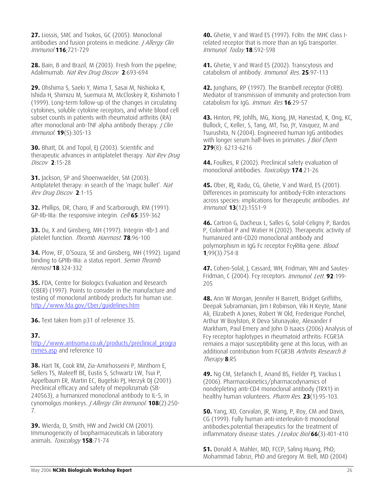**27.** Liossis, SMC and Tsokos, GC (2005). Monoclonal antibodies and fusion proteins in medicine. *J Allergy Clin* Immunol **116**;721-729

**28.** Bain, B and Brazil, M (2003). Fresh from the pipeline; Adalimumab. Nat Rev Drug Discov **2**:693-694

**29.** [Ohshima S](http://www.ncbi.nlm.nih.gov/entrez/query.fcgi?db=pubmed&cmd=Search&itool=pubmed_Abstract&term=%22Ohshima+S%22%5BAuthor%5D), [Saeki Y](http://www.ncbi.nlm.nih.gov/entrez/query.fcgi?db=pubmed&cmd=Search&itool=pubmed_Abstract&term=%22Saeki+Y%22%5BAuthor%5D), [Mima T,](http://www.ncbi.nlm.nih.gov/entrez/query.fcgi?db=pubmed&cmd=Search&itool=pubmed_Abstract&term=%22Mima+T%22%5BAuthor%5D) [Sasai M,](http://www.ncbi.nlm.nih.gov/entrez/query.fcgi?db=pubmed&cmd=Search&itool=pubmed_Abstract&term=%22Sasai+M%22%5BAuthor%5D) [Nishioka K](http://www.ncbi.nlm.nih.gov/entrez/query.fcgi?db=pubmed&cmd=Search&itool=pubmed_Abstract&term=%22Nishioka+K%22%5BAuthor%5D), [Ishida H,](http://www.ncbi.nlm.nih.gov/entrez/query.fcgi?db=pubmed&cmd=Search&itool=pubmed_Abstract&term=%22Ishida+H%22%5BAuthor%5D) [Shimizu M,](http://www.ncbi.nlm.nih.gov/entrez/query.fcgi?db=pubmed&cmd=Search&itool=pubmed_Abstract&term=%22Shimizu+M%22%5BAuthor%5D) [Suemura M](http://www.ncbi.nlm.nih.gov/entrez/query.fcgi?db=pubmed&cmd=Search&itool=pubmed_Abstract&term=%22Suemura+M%22%5BAuthor%5D), [McCloskey R](http://www.ncbi.nlm.nih.gov/entrez/query.fcgi?db=pubmed&cmd=Search&itool=pubmed_Abstract&term=%22McCloskey+R%22%5BAuthor%5D), [Kishimoto T](http://www.ncbi.nlm.nih.gov/entrez/query.fcgi?db=pubmed&cmd=Search&itool=pubmed_Abstract&term=%22Kishimoto+T%22%5BAuthor%5D) (1999). Long-term follow-up of the changes in circulating cytokines, soluble cytokine receptors, and white blood cell subset counts in patients with rheumatoid arthritis (RA) after monoclonal anti-TNF alpha antibody therapy. *J Clin* Immunol. **19**(5):305-13

**30.** Bhatt, DL and Topol, EJ (2003). Scientific and therapeutic advances in antiplatelet therapy. Nat Rev Drug Discov **2**:15-28

r Rev D ug Discov **2**:1-15 **31.** Jackson, SP and Shoenwaelder, SM (2003). Antiplatelet therapy: in search of the 'magic bullet'. Nat

**32.** Phillips, DR, Charo, IF and Scarborough, RM (1991). GP-IIb-IIIa: the responsive integrin. Cell **65**:359-362

**33.** Du, X and Ginsberg, MH (1997). Integrin •IIb•3 and platelet function. Thromb. Haemost. **78**:96-100

**34.** Plow, EF, D'Souza, SE and Ginsberg, MH (1992). Ligand binding to GPIIb-IIIa: a status report. Semin Thromb Hemost **18**:324-332

**35.** FDA, Centre for Biologics Evaluation and Research (CBER) (1997). Points to consider in the manufacture and testing of monoclonal antibody products for human use. <http://www.fda.gov/Cber/guidelines.htm>

**36.** Text taken from p31 of reference 35.

#### **37.**

[http://www.antisoma.co.uk/products/preclinical\\_progra](http://www.antisoma.co.uk/products/preclinical_programmes.asp) [mmes.asp](http://www.antisoma.co.uk/products/preclinical_programmes.asp) and reference 10

**38.** [Hart TK,](http://www.ncbi.nlm.nih.gov/entrez/query.fcgi?db=pubmed&cmd=Search&itool=pubmed_Abstract&term=%22Hart+TK%22%5BAuthor%5D) [Cook RM,](http://www.ncbi.nlm.nih.gov/entrez/query.fcgi?db=pubmed&cmd=Search&itool=pubmed_Abstract&term=%22Cook+RM%22%5BAuthor%5D) [Zia-Amirhosseini P](http://www.ncbi.nlm.nih.gov/entrez/query.fcgi?db=pubmed&cmd=Search&itool=pubmed_Abstract&term=%22Zia%2DAmirhosseini+P%22%5BAuthor%5D), [Minthorn E,](http://www.ncbi.nlm.nih.gov/entrez/query.fcgi?db=pubmed&cmd=Search&itool=pubmed_Abstract&term=%22Minthorn+E%22%5BAuthor%5D) [Sellers TS](http://www.ncbi.nlm.nih.gov/entrez/query.fcgi?db=pubmed&cmd=Search&itool=pubmed_Abstract&term=%22Sellers+TS%22%5BAuthor%5D), [Maleeff BE,](http://www.ncbi.nlm.nih.gov/entrez/query.fcgi?db=pubmed&cmd=Search&itool=pubmed_Abstract&term=%22Maleeff+BE%22%5BAuthor%5D) [Eustis S,](http://www.ncbi.nlm.nih.gov/entrez/query.fcgi?db=pubmed&cmd=Search&itool=pubmed_Abstract&term=%22Eustis+S%22%5BAuthor%5D) [Schwartz LW,](http://www.ncbi.nlm.nih.gov/entrez/query.fcgi?db=pubmed&cmd=Search&itool=pubmed_Abstract&term=%22Schwartz+LW%22%5BAuthor%5D) [Tsui P](http://www.ncbi.nlm.nih.gov/entrez/query.fcgi?db=pubmed&cmd=Search&itool=pubmed_Abstract&term=%22Tsui+P%22%5BAuthor%5D), [Appelbaum ER](http://www.ncbi.nlm.nih.gov/entrez/query.fcgi?db=pubmed&cmd=Search&itool=pubmed_Abstract&term=%22Appelbaum+ER%22%5BAuthor%5D), [Martin EC,](http://www.ncbi.nlm.nih.gov/entrez/query.fcgi?db=pubmed&cmd=Search&itool=pubmed_Abstract&term=%22Martin+EC%22%5BAuthor%5D) [Bugelski PJ,](http://www.ncbi.nlm.nih.gov/entrez/query.fcgi?db=pubmed&cmd=Search&itool=pubmed_Abstract&term=%22Bugelski+PJ%22%5BAuthor%5D) [Herzyk DJ](http://www.ncbi.nlm.nih.gov/entrez/query.fcgi?db=pubmed&cmd=Search&itool=pubmed_Abstract&term=%22Herzyk+DJ%22%5BAuthor%5D) (2001). Preclinical efficacy and safety of mepolizumab (SB-240563), a humanized monoclonal antibody to IL-5, in cynomolgus monkeys. J Allergy Clin Immunol. **108**(2):250- 7.

**39.** Wierda, D, Smith, HW and Zwickl CM (2001). Immunogenicity of biopharmaceuticals in laboratory animals. Toxicology **158**:71-74

**40.** Ghetie, V and Ward ES (1997). FcRn: the MHC class Irelated receptor that is more than an IgG transporter. Immunol. Today **18**:592-598

**41.** Ghetie, V and Ward ES (2002). Transcytosis and catabolism of antibody. Immunol. Res. **25**:97-113

**42.** Junghans, RP (1997). The Brambell receptor (FcRB). Mediator of transmission of immunity and protection from catabolism for IgG. Immun. Res **16**:29-57

**43.** Hinton, PR, Johlfs, MG, Xiong, JM, Hanestad, K, Ong, KC, Bullock, C, Keller, S, Tang, MT, Tso, JY, Vasquez, M and Tsurushita, N (2004). Engineered human IgG antibodies with longer serum half-lives in primates. *J Biol Chem* **279**(8): 6213-6216

**44.** Foulkes, R (2002). Preclinical safety evaluation of monoclonal antibodies. Toxicology **174**:21-26

**45.** Ober, RJ, Radu, CG, Ghetie, V and Ward, ES (2001). Differences in promiscuity for antibody-FcRn interactions across species: implications for therapeutic antibodies. Int Immunol. **13**(12):1551-9

**46.** [Cartron G, Dacheux L, Salles G, Solal-Celigny P, Bardos](http://www.ncbi.nlm.nih.gov/entrez/query.fcgi?cmd=Retrieve&db=pubmed&dopt=Abstract&list_uids=11806974&query_hl=21&itool=pubmed_docsum)  [P, Colombat P and Watier H \(2002\).](http://www.ncbi.nlm.nih.gov/entrez/query.fcgi?cmd=Retrieve&db=pubmed&dopt=Abstract&list_uids=11806974&query_hl=21&itool=pubmed_docsum) Therapeutic activity of humanized anti-CD20 monoclonal antibody and polymorphism in IgG Fc receptor FcγRIIIa gene. *Blood.* **1**;99(3):754-8

**47.** Cohen-Solal, J, Cassard, WH, Fridman, WH and Sautes-Fridman, C (2004). Fcγ receptors. Immunol. Lett. **92**:199- 205

**48.** Ann W Morgan, Jennifer H Barrett, Bridget Griffiths, Deepak Subramanian, Jim I Robinson, Viki H Keyte, Manir Ali, Elizabeth A Jones, Robert W Old, Frederique Ponchel, Arthur W Boylston, R Deva Situnayake, Alexander F Markham, Paul Emery and John D Isaacs (2006) Analysis of Fcγ receptor haplotypes in rheumatoid arthritis: FCGR3A remains a major susceptibility gene at this locus, with an additional contribution from FCGR3B *Arthritis Research &* Therapy **8**:R5

**49.** [Ng CM,](http://www.ncbi.nlm.nih.gov/entrez/query.fcgi?db=pubmed&cmd=Search&itool=pubmed_Abstract&term=%22Ng+CM%22%5BAuthor%5D) [Stefanich E,](http://www.ncbi.nlm.nih.gov/entrez/query.fcgi?db=pubmed&cmd=Search&itool=pubmed_Abstract&term=%22Stefanich+E%22%5BAuthor%5D) [Anand BS,](http://www.ncbi.nlm.nih.gov/entrez/query.fcgi?db=pubmed&cmd=Search&itool=pubmed_Abstract&term=%22Anand+BS%22%5BAuthor%5D) [Fielder PJ,](http://www.ncbi.nlm.nih.gov/entrez/query.fcgi?db=pubmed&cmd=Search&itool=pubmed_Abstract&term=%22Fielder+PJ%22%5BAuthor%5D) [Vaickus L](http://www.ncbi.nlm.nih.gov/entrez/query.fcgi?db=pubmed&cmd=Search&itool=pubmed_Abstract&term=%22Vaickus+L%22%5BAuthor%5D) (2006). Pharmacokinetics/pharmacodynamics of nondepleting anti-CD4 monoclonal antibody (TRX1) in healthy human volunteers. Pharm Res. **23**(1):95-103.

**50.** Yang, XD, Corvalan, JR, Wang, P, Roy, CM and Davis, CG (1999). Fully human anti-interleukin-8 monoclonal antibodies:potential therapeutics for the treatment of inflammatory disease states. *J Leukoc Biol* 66(3):401-410

**51.** Donald A. Mahler, MD, FCCP; Saling Huang, PhD; Mohammad Tabrizi, PhD and Gregory M. Bell, MD (2004)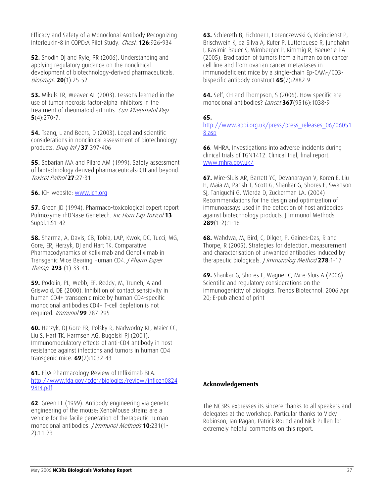Efficacy and Safety of a Monoclonal Antibody Recognizing Interleukin-8 in COPD:A Pilot Study. Chest. **126**:926-934

**52.** Snodin DJ and Ryle, PR (2006). Understanding and applying regulatory guidance on the nonclinical development of biotechnology-derived pharmaceuticals. BioDrugs. **20**(1):25-52

**53.** [Mikuls TR](http://www.ncbi.nlm.nih.gov/entrez/query.fcgi?db=pubmed&cmd=Search&itool=pubmed_Abstract&term=%22Mikuls+TR%22%5BAuthor%5D), [Weaver AL](http://www.ncbi.nlm.nih.gov/entrez/query.fcgi?db=pubmed&cmd=Search&itool=pubmed_Abstract&term=%22Weaver+AL%22%5BAuthor%5D) (2003). Lessons learned in the use of tumor necrosis factor-alpha inhibitors in the treatment of rheumatoid arthritis. Curr Rheumatol Rep. **5**(4):270-7.

**54.** Tsang, L and Beers, D (2003). Legal and scientific considerations in nonclinical assessment of biotechnology products. Drug Inf J **37** 397-406

**55.** Sebarian MA and Pilaro AM (1999). Safety assessment of biotechnology derived pharmaceuticals:ICH and beyond. Toxicol Pathol **27**:27-31

**56.** ICH website: [www.ich.org](http://www.ich.org/)

**57.** Green JD (1994). Pharmaco-toxicological expert report Pulmozyme rhDNase Genetech. Inc Hum Exp Toxicol **13** Suppl.1:S1-42

**58.** Sharma, A, Davis, CB, Tobia, LAP, Kwok, DC, Tucci, MG, Gore, ER, Herzyk, DJ and Hart TK. Comparative Pharmacodynamics of Keliximab and Clenoliximab in Transgenic Mice Bearing Human CD4. *| Pharm Exper* Therap. **293** (1) 33-41.

**59.** Podolin, PL, Webb, EF, Reddy, M, Truneh, A and Griswold, DE (2000). Inhibition of contact sensitivity in human CD4+ transgenic mice by human CD4-specific monoclonal antibodies:CD4+ T-cell depletion is not required. Immunol **99** 287-295

**60.** Herzyk, DJ [Gore ER,](http://www.ncbi.nlm.nih.gov/entrez/query.fcgi?db=pubmed&cmd=Search&itool=pubmed_Abstract&term=%22Gore+ER%22%5BAuthor%5D) [Polsky R,](http://www.ncbi.nlm.nih.gov/entrez/query.fcgi?db=pubmed&cmd=Search&itool=pubmed_Abstract&term=%22Polsky+R%22%5BAuthor%5D) [Nadwodny KL](http://www.ncbi.nlm.nih.gov/entrez/query.fcgi?db=pubmed&cmd=Search&itool=pubmed_Abstract&term=%22Nadwodny+KL%22%5BAuthor%5D), [Maier CC](http://www.ncbi.nlm.nih.gov/entrez/query.fcgi?db=pubmed&cmd=Search&itool=pubmed_Abstract&term=%22Maier+CC%22%5BAuthor%5D), [Liu S](http://www.ncbi.nlm.nih.gov/entrez/query.fcgi?db=pubmed&cmd=Search&itool=pubmed_Abstract&term=%22Liu+S%22%5BAuthor%5D), [Hart TK,](http://www.ncbi.nlm.nih.gov/entrez/query.fcgi?db=pubmed&cmd=Search&itool=pubmed_Abstract&term=%22Hart+TK%22%5BAuthor%5D) [Harmsen AG](http://www.ncbi.nlm.nih.gov/entrez/query.fcgi?db=pubmed&cmd=Search&itool=pubmed_Abstract&term=%22Harmsen+AG%22%5BAuthor%5D), [Bugelski PJ](http://www.ncbi.nlm.nih.gov/entrez/query.fcgi?db=pubmed&cmd=Search&itool=pubmed_Abstract&term=%22Bugelski+PJ%22%5BAuthor%5D) (2001). Immunomodulatory effects of anti-CD4 antibody in host resistance against infections and tumors in human CD4 transgenic mice. **69**(2):1032-43

**61.** FDA Pharmacology Review of Infliximab BLA. [http://www.fda.gov/cder/biologics/review/inflcen0824](http://www.fda.gov/cder/biologics/review/inflcen082498r4.pdf) [98r4.pdf](http://www.fda.gov/cder/biologics/review/inflcen082498r4.pdf)

**62**. [Green LL \(1999\).](http://www.ncbi.nlm.nih.gov/entrez/query.fcgi?cmd=Retrieve&db=pubmed&dopt=Abstract&list_uids=10648924&query_hl=20&itool=pubmed_docsum) Antibody engineering via genetic engineering of the mouse: XenoMouse strains are a vehicle for the facile generation of therapeutic human monoclonal antibodies. J Immunol Methods **10**;231(1- 2):11-23

**63.** [Schlereth B](http://www.ncbi.nlm.nih.gov/entrez/query.fcgi?db=PubMed&cmd=Search&itool=PubMed_Abstract&term=%22Schlereth+B%22%5BAuthor%5D), [Fichtner I,](http://www.ncbi.nlm.nih.gov/entrez/query.fcgi?db=PubMed&cmd=Search&itool=PubMed_Abstract&term=%22Fichtner+I%22%5BAuthor%5D) [Lorenczewski G,](http://www.ncbi.nlm.nih.gov/entrez/query.fcgi?db=PubMed&cmd=Search&itool=PubMed_Abstract&term=%22Lorenczewski+G%22%5BAuthor%5D) [Kleindienst P,](http://www.ncbi.nlm.nih.gov/entrez/query.fcgi?db=PubMed&cmd=Search&itool=PubMed_Abstract&term=%22Kleindienst+P%22%5BAuthor%5D) [Brischwein K](http://www.ncbi.nlm.nih.gov/entrez/query.fcgi?db=PubMed&cmd=Search&itool=PubMed_Abstract&term=%22Brischwein+K%22%5BAuthor%5D), [da Silva A](http://www.ncbi.nlm.nih.gov/entrez/query.fcgi?db=PubMed&cmd=Search&itool=PubMed_Abstract&term=%22da+Silva+A%22%5BAuthor%5D), [Kufer P](http://www.ncbi.nlm.nih.gov/entrez/query.fcgi?db=PubMed&cmd=Search&itool=PubMed_Abstract&term=%22Kufer+P%22%5BAuthor%5D), [Lutterbuese R,](http://www.ncbi.nlm.nih.gov/entrez/query.fcgi?db=PubMed&cmd=Search&itool=PubMed_Abstract&term=%22Lutterbuese+R%22%5BAuthor%5D) [Junghahn](http://www.ncbi.nlm.nih.gov/entrez/query.fcgi?db=PubMed&cmd=Search&itool=PubMed_Abstract&term=%22Junghahn+I%22%5BAuthor%5D)  [I](http://www.ncbi.nlm.nih.gov/entrez/query.fcgi?db=PubMed&cmd=Search&itool=PubMed_Abstract&term=%22Junghahn+I%22%5BAuthor%5D), [Kasimir-Bauer S,](http://www.ncbi.nlm.nih.gov/entrez/query.fcgi?db=PubMed&cmd=Search&itool=PubMed_Abstract&term=%22Kasimir%2DBauer+S%22%5BAuthor%5D) [Wimberger P](http://www.ncbi.nlm.nih.gov/entrez/query.fcgi?db=PubMed&cmd=Search&itool=PubMed_Abstract&term=%22Wimberger+P%22%5BAuthor%5D), [Kimmig R](http://www.ncbi.nlm.nih.gov/entrez/query.fcgi?db=PubMed&cmd=Search&itool=PubMed_Abstract&term=%22Kimmig+R%22%5BAuthor%5D), [Baeuerle PA](http://www.ncbi.nlm.nih.gov/entrez/query.fcgi?db=PubMed&cmd=Search&itool=PubMed_Abstract&term=%22Baeuerle+PA%22%5BAuthor%5D) (2005). Eradication of tumors from a human colon cancer cell line and from ovarian cancer metastases in immunodeficient mice by a single-chain Ep-CAM-/CD3 bispecific antibody construct **65**(7):2882-9

**64.** Self, CH and Thompson, S (2006). How specific are monoclonal antibodies? Lancet **367**(9516):1038-9

#### **65.**

[http://www.abpi.org.uk/press/press\\_releases\\_06/06051](http://www.abpi.org.uk/press/press_releases_06/060518.asp) [8.asp](http://www.abpi.org.uk/press/press_releases_06/060518.asp)

**66**. MHRA, Investigations into adverse incidents during clinical trials of TGN1412. Clinical trial, final report. [www.mhra.gov.uk/](http://www.mhra.gov.uk/)

**67.** Mire-Sluis AR, Barrett YC, Devanarayan V, Koren E, Liu H, Maia M, Parish T, Scott G, Shankar G, Shores E, Swanson SJ, Taniguchi G, Wierda D, Zuckerman LA. (2004) Recommendations for the design and optimization of immunoassays used in the detection of host antibodies against biotechnology products. J Immunol Methods. **289**(1-2):1-16

**68.** Wahdwa, M, Bird, C, Dilger, P, Gaines-Das, R and Thorpe, R (2005). Strategies for detection, measurement and characterisation of unwanted antibodies induced by therapeutic biologicals. J Immunolog Method **278**:1-17

**69.** Shankar G, Shores E, Wagner C, Mire-Sluis A (2006). Scientific and regulatory considerations on the immunogenicity of biologics. Trends Biotechnol. 2006 Apr 20; E-pub ahead of print

#### **Acknowledgements**

The NC3Rs expresses its sincere thanks to all speakers and delegates at the workshop. Particular thanks to Vicky Robinson, Ian Ragan, Patrick Round and Nick Pullen for extremely helpful comments on this report.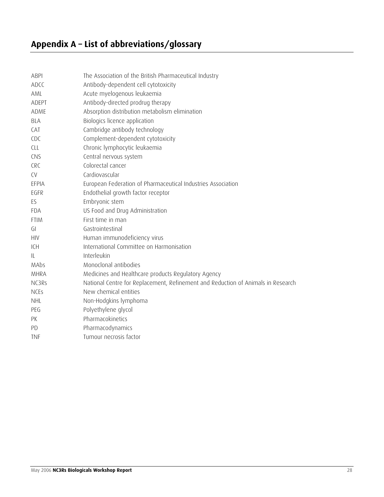<span id="page-27-0"></span>

| <b>ABPI</b> | The Association of the British Pharmaceutical Industry                           |
|-------------|----------------------------------------------------------------------------------|
| ADCC        | Antibody-dependent cell cytotoxicity                                             |
| AML         | Acute myelogenous leukaemia                                                      |
| ADEPT       | Antibody-directed prodrug therapy                                                |
| ADME        | Absorption distribution metabolism elimination                                   |
| <b>BLA</b>  | Biologics licence application                                                    |
| CAT         | Cambridge antibody technology                                                    |
| CDC         | Complement-dependent cytotoxicity                                                |
| <b>CLL</b>  | Chronic lymphocytic leukaemia                                                    |
| CNS         | Central nervous system                                                           |
| <b>CRC</b>  | Colorectal cancer                                                                |
| <b>CV</b>   | Cardiovascular                                                                   |
| EFPIA       | European Federation of Pharmaceutical Industries Association                     |
| EGFR        | Endothelial growth factor receptor                                               |
| ES          | Embryonic stem                                                                   |
| <b>FDA</b>  | US Food and Drug Administration                                                  |
| <b>FTIM</b> | First time in man                                                                |
| GI          | Gastrointestinal                                                                 |
| <b>HIV</b>  | Human immunodeficiency virus                                                     |
| ICH         | International Committee on Harmonisation                                         |
| IL          | Interleukin                                                                      |
| MAbs        | Monoclonal antibodies                                                            |
| <b>MHRA</b> | Medicines and Healthcare products Regulatory Agency                              |
| NC3Rs       | National Centre for Replacement, Refinement and Reduction of Animals in Research |
| <b>NCES</b> | New chemical entities                                                            |
| <b>NHL</b>  | Non-Hodgkins lymphoma                                                            |
| PEG         | Polyethylene glycol                                                              |
| PK          | Pharmacokinetics                                                                 |
| PD          | Pharmacodynamics                                                                 |
| <b>TNF</b>  | Tumour necrosis factor                                                           |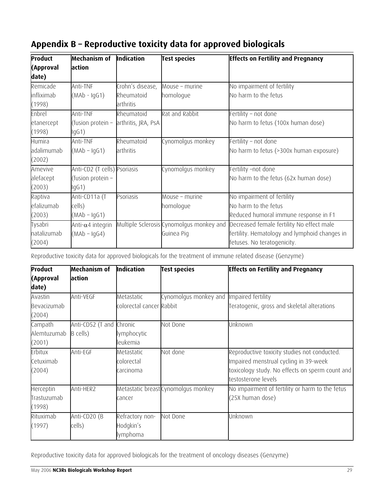| Product     | Mechanism of                 | Indication          | <b>Test species</b>                      | <b>Effects on Fertility and Pregnancy</b>    |
|-------------|------------------------------|---------------------|------------------------------------------|----------------------------------------------|
| (Approval   | action                       |                     |                                          |                                              |
| date)       |                              |                     |                                          |                                              |
| Remicade    | Anti-TNF                     | Crohn's disease,    | Mouse - murine                           | No impairment of fertility                   |
| infliximab  | $(MAb - IqG1)$               | Rheumatoid          | homologue                                | No harm to the fetus                         |
| (1998)      |                              | arthritis           |                                          |                                              |
| Enbrel      | Anti-TNF                     | Rheumatoid          | Rat and Rabbit                           | ertility – not done                          |
| etanercept  | (fusion protein –            | arthritis, JRA, PsA |                                          | No harm to fetus (100x human dose)           |
| (1998)      | lgG1)                        |                     |                                          |                                              |
| Humira      | Anti-TNF                     | Rheumatoid          | Cynomolgus monkey                        | ertility – not done                          |
| adalimumab  | $(MAb - IqG1)$               | arthritis           |                                          | No harm to fetus (>300x human exposure)      |
| (2002)      |                              |                     |                                          |                                              |
| Amevive     | Anti-CD2 (T cells) Psoriasis |                     | Cynomolgus monkey                        | ertility –not done                           |
| alefacept   | (fusion protein –            |                     |                                          | No harm to the fetus (62x human dose)        |
| (2003)      | lgG1)                        |                     |                                          |                                              |
| Raptiva     | Anti-CD11a (T                | Psoriasis           | Mouse - murine                           | No impairment of fertility                   |
| efalizumab  | cells)                       |                     | homologue                                | No harm to the fetus                         |
| (2003)      | $(MAb - IqG1)$               |                     |                                          | Reduced humoral immune response in F1        |
| Tysabri     | Anti- $\alpha$ 4 integrin    |                     | Multiple Sclerosis Cynomolgus monkey and | Decreased female fertility No effect male    |
| natalizumab | $(MAb - IqG4)$               |                     | Guinea Pig                               | ertility. Hematology and lymphoid changes in |
| (2004)      |                              |                     |                                          | etuses. No teratogenicity.                   |

# <span id="page-28-0"></span>**Appendix B – Reproductive toxicity data for approved biologicals**

Reproductive toxicity data for approved biologicals for the treatment of immune related disease (Genzyme)

| Product<br>(Approval<br>date)      | Mechanism of<br>action               | Indication                               | <b>Test species</b>                      | <b>Effects on Fertility and Pregnancy</b>                                                                                                                       |
|------------------------------------|--------------------------------------|------------------------------------------|------------------------------------------|-----------------------------------------------------------------------------------------------------------------------------------------------------------------|
| Avastin<br>Bevacizumab<br>(2004)   | Anti-VEGF                            | Metastatic<br>colorectal cancer Rabbit   | Cynomolgus monkey and Impaired fertility | Teratogenic, gross and skeletal alterations                                                                                                                     |
| Campath<br>Alemtuzumab<br>(2001)   | Anti-CD52 (T and Chronic<br>B cells) | lymphocytic<br>leukemia                  | Not Done                                 | Unknown                                                                                                                                                         |
| Erbitux<br>Cetuximab<br>(2004)     | Anti-EGF                             | Metastatic<br>colorectal<br>carcinoma    | Not done                                 | Reproductive toxicity studies not conducted.<br>Impaired menstrual cycling in 39-week<br>toxicology study. No effects on sperm count and<br>testosterone levels |
| Herceptin<br>Trastuzumab<br>(1998) | Anti-HER2                            | cancer                                   | Metastatic breast Cynomolgus monkey      | No impairment of fertility or harm to the fetus<br>(25X human dose)                                                                                             |
| Rituximab<br>(1997)                | Anti-CD20 (B<br>cells)               | Refractory non-<br>Hodgkin's<br>lymphoma | Not Done                                 | Unknown                                                                                                                                                         |

Reproductive toxicity data for approved biologicals for the treatment of oncology diseases (Genzyme)